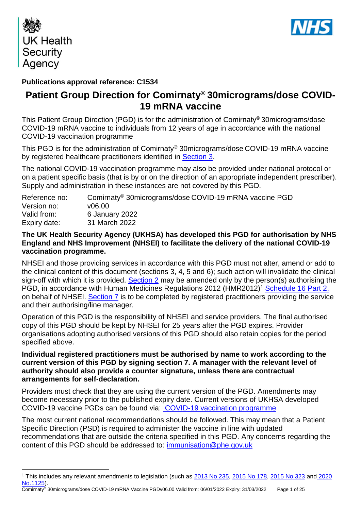

<u>.</u>



## **Publications approval reference: C1534**

# **Patient Group Direction for Comirnaty® 30micrograms/dose COVID-19 mRNA vaccine**

This Patient Group Direction (PGD) is for the administration of Comirnaty® 30micrograms/dose COVID-19 mRNA vaccine to individuals from 12 years of age in accordance with the national COVID-19 vaccination programme

This PGD is for the administration of Comirnaty® 30micrograms/dose COVID-19 mRNA vaccine by registered healthcare practitioners identified in [Section 3.](#page-6-0)

The national COVID-19 vaccination programme may also be provided under national protocol or on a patient specific basis (that is by or on the direction of an appropriate independent prescriber). Supply and administration in these instances are not covered by this PGD.

| Reference no: | Comirnaty <sup>®</sup> 30micrograms/dose COVID-19 mRNA vaccine PGD |
|---------------|--------------------------------------------------------------------|
| Version no:   | v06.00                                                             |
| Valid from:   | 6 January 2022                                                     |
| Expiry date:  | 31 March 2022                                                      |

## **The UK Health Security Agency (UKHSA) has developed this PGD for authorisation by NHS England and NHS Improvement (NHSEI) to facilitate the delivery of the national COVID-19 vaccination programme.**

NHSEI and those providing services in accordance with this PGD must not alter, amend or add to the clinical content of this document (sections 3, 4, 5 and 6); such action will invalidate the clinical sign-off with which it is provided. [Section 2](#page-4-0) may be amended only by the person(s) authorising the PGD, in accordance with Human Medicines Regulations 2012 (HMR2012)<sup>1</sup> [Schedule 16 Part 2,](http://www.legislation.gov.uk/uksi/2012/1916/schedule/16/part/2/made) on behalf of NHSEI. [Section 7](#page-22-0) is to be completed by registered practitioners providing the service and their authorising/line manager.

Operation of this PGD is the responsibility of NHSEI and service providers. The final authorised copy of this PGD should be kept by NHSEI for 25 years after the PGD expires. Provider organisations adopting authorised versions of this PGD should also retain copies for the period specified above.

### **Individual registered practitioners must be authorised by name to work according to the current version of this PGD by signing section 7. A manager with the relevant level of authority should also provide a counter signature, unless there are contractual arrangements for self-declaration.**

Providers must check that they are using the current version of the PGD. Amendments may become necessary prior to the published expiry date. Current versions of UKHSA developed COVID-19 vaccine PGDs can be found via: [COVID-19 vaccination programme](https://www.gov.uk/government/collections/covid-19-vaccination-programme)

The most current national recommendations should be followed. This may mean that a Patient Specific Direction (PSD) is required to administer the vaccine in line with updated recommendations that are outside the criteria specified in this PGD. Any concerns regarding the content of this PGD should be addressed to: [immunisation@phe.gov.uk](mailto:immunisation@phe.gov.uk)

<sup>&</sup>lt;sup>1</sup> This includes any relevant amendments to legislation (such as [2013 No.235,](http://www.legislation.gov.uk/uksi/2013/235/contents/made) [2015 No.178,](http://www.legislation.gov.uk/nisr/2015/178/contents/made) [2015 No.323](http://www.legislation.gov.uk/uksi/2015/323/contents/made) and 2020 [No.1125\)](https://www.legislation.gov.uk/uksi/2020/1125/contents/made).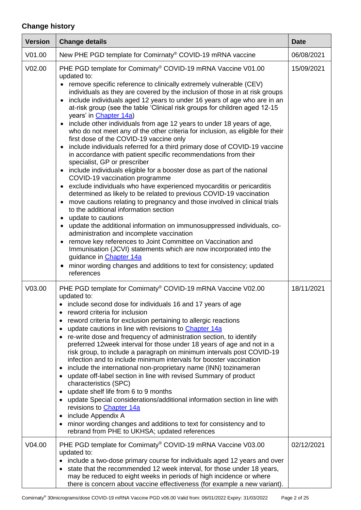# **Change history**

| <b>Version</b> | <b>Change details</b>                                                                                                                                                                                                                                                                                                                                                                                                                                                                                                                                                                                                                                                                                                                                                                                                                                                                                                                                                                                                                                                                                                                                                                                                                                                                                                                                                                                                                                                                                                                                                                                                 | <b>Date</b> |
|----------------|-----------------------------------------------------------------------------------------------------------------------------------------------------------------------------------------------------------------------------------------------------------------------------------------------------------------------------------------------------------------------------------------------------------------------------------------------------------------------------------------------------------------------------------------------------------------------------------------------------------------------------------------------------------------------------------------------------------------------------------------------------------------------------------------------------------------------------------------------------------------------------------------------------------------------------------------------------------------------------------------------------------------------------------------------------------------------------------------------------------------------------------------------------------------------------------------------------------------------------------------------------------------------------------------------------------------------------------------------------------------------------------------------------------------------------------------------------------------------------------------------------------------------------------------------------------------------------------------------------------------------|-------------|
| V01.00         | New PHE PGD template for Comirnaty® COVID-19 mRNA vaccine                                                                                                                                                                                                                                                                                                                                                                                                                                                                                                                                                                                                                                                                                                                                                                                                                                                                                                                                                                                                                                                                                                                                                                                                                                                                                                                                                                                                                                                                                                                                                             | 06/08/2021  |
| V02.00         | PHE PGD template for Comirnaty® COVID-19 mRNA Vaccine V01.00<br>updated to:<br>• remove specific reference to clinically extremely vulnerable (CEV)<br>individuals as they are covered by the inclusion of those in at risk groups<br>include individuals aged 12 years to under 16 years of age who are in an<br>at-risk group (see the table 'Clinical risk groups for children aged 12-15<br>years' in Chapter 14a)<br>• include other individuals from age 12 years to under 18 years of age,<br>who do not meet any of the other criteria for inclusion, as eligible for their<br>first dose of the COVID-19 vaccine only<br>include individuals referred for a third primary dose of COVID-19 vaccine<br>in accordance with patient specific recommendations from their<br>specialist, GP or prescriber<br>• include individuals eligible for a booster dose as part of the national<br>COVID-19 vaccination programme<br>exclude individuals who have experienced myocarditis or pericarditis<br>determined as likely to be related to previous COVID-19 vaccination<br>move cautions relating to pregnancy and those involved in clinical trials<br>$\bullet$<br>to the additional information section<br>• update to cautions<br>update the additional information on immunosuppressed individuals, co-<br>administration and incomplete vaccination<br>remove key references to Joint Committee on Vaccination and<br>Immunisation (JCVI) statements which are now incorporated into the<br>guidance in Chapter 14a<br>• minor wording changes and additions to text for consistency; updated<br>references | 15/09/2021  |
| V03.00         | PHE PGD template for Comirnaty® COVID-19 mRNA Vaccine V02.00<br>updated to:<br>include second dose for individuals 16 and 17 years of age<br>reword criteria for inclusion<br>٠<br>reword criteria for exclusion pertaining to allergic reactions<br>٠<br>update cautions in line with revisions to Chapter 14a<br>$\bullet$<br>re-write dose and frequency of administration section, to identify<br>$\bullet$<br>preferred 12week interval for those under 18 years of age and not in a<br>risk group, to include a paragraph on minimum intervals post COVID-19<br>infection and to include minimum intervals for booster vaccination<br>include the international non-proprietary name (INN) tozinameran<br>٠<br>update off-label section in line with revised Summary of product<br>$\bullet$<br>characteristics (SPC)<br>update shelf life from 6 to 9 months<br>$\bullet$<br>update Special considerations/additional information section in line with<br>٠<br>revisions to <b>Chapter 14a</b><br>include Appendix A<br>$\bullet$<br>minor wording changes and additions to text for consistency and to<br>٠<br>rebrand from PHE to UKHSA; updated references                                                                                                                                                                                                                                                                                                                                                                                                                                                  | 18/11/2021  |
| V04.00         | PHE PGD template for Comirnaty® COVID-19 mRNA Vaccine V03.00<br>updated to:<br>include a two-dose primary course for individuals aged 12 years and over<br>state that the recommended 12 week interval, for those under 18 years,<br>٠<br>may be reduced to eight weeks in periods of high incidence or where<br>there is concern about vaccine effectiveness (for example a new variant).                                                                                                                                                                                                                                                                                                                                                                                                                                                                                                                                                                                                                                                                                                                                                                                                                                                                                                                                                                                                                                                                                                                                                                                                                            | 02/12/2021  |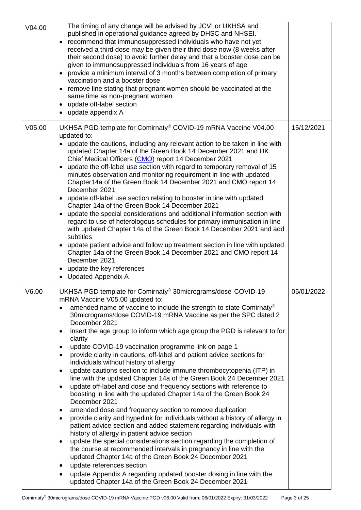| V04.00 | The timing of any change will be advised by JCVI or UKHSA and<br>published in operational guidance agreed by DHSC and NHSEI.<br>• recommend that immunosuppressed individuals who have not yet<br>received a third dose may be given their third dose now (8 weeks after<br>their second dose) to avoid further delay and that a booster dose can be<br>given to immunosuppressed individuals from 16 years of age<br>provide a minimum interval of 3 months between completion of primary<br>$\bullet$<br>vaccination and a booster dose<br>• remove line stating that pregnant women should be vaccinated at the<br>same time as non-pregnant women<br>update off-label section<br>٠<br>update appendix A                                                                                                                                                                                                                                                                                                                                                                                                                                                                                                                                                                                                                                                                                                                                                                                                                                                                 |            |
|--------|-----------------------------------------------------------------------------------------------------------------------------------------------------------------------------------------------------------------------------------------------------------------------------------------------------------------------------------------------------------------------------------------------------------------------------------------------------------------------------------------------------------------------------------------------------------------------------------------------------------------------------------------------------------------------------------------------------------------------------------------------------------------------------------------------------------------------------------------------------------------------------------------------------------------------------------------------------------------------------------------------------------------------------------------------------------------------------------------------------------------------------------------------------------------------------------------------------------------------------------------------------------------------------------------------------------------------------------------------------------------------------------------------------------------------------------------------------------------------------------------------------------------------------------------------------------------------------|------------|
| V05.00 | UKHSA PGD template for Comirnaty <sup>®</sup> COVID-19 mRNA Vaccine V04.00<br>updated to:<br>• update the cautions, including any relevant action to be taken in line with<br>updated Chapter 14a of the Green Book 14 December 2021 and UK<br>Chief Medical Officers (CMO) report 14 December 2021<br>update the off-label use section with regard to temporary removal of 15<br>$\bullet$<br>minutes observation and monitoring requirement in line with updated<br>Chapter14a of the Green Book 14 December 2021 and CMO report 14<br>December 2021<br>• update off-label use section relating to booster in line with updated<br>Chapter 14a of the Green Book 14 December 2021<br>update the special considerations and additional information section with<br>$\bullet$<br>regard to use of heterologous schedules for primary immunisation in line<br>with updated Chapter 14a of the Green Book 14 December 2021 and add<br>subtitles<br>• update patient advice and follow up treatment section in line with updated<br>Chapter 14a of the Green Book 14 December 2021 and CMO report 14<br>December 2021<br>• update the key references<br><b>Updated Appendix A</b><br>$\bullet$                                                                                                                                                                                                                                                                                                                                                                                 | 15/12/2021 |
| V6.00  | UKHSA PGD template for Comirnaty® 30micrograms/dose COVID-19<br>mRNA Vaccine V05.00 updated to:<br>amended name of vaccine to include the strength to state Comirnaty®<br>30 micrograms/dose COVID-19 mRNA Vaccine as per the SPC dated 2<br>December 2021<br>insert the age group to inform which age group the PGD is relevant to for<br>٠<br>clarity<br>update COVID-19 vaccination programme link on page 1<br>٠<br>provide clarity in cautions, off-label and patient advice sections for<br>٠<br>individuals without history of allergy<br>update cautions section to include immune thrombocytopenia (ITP) in<br>$\bullet$<br>line with the updated Chapter 14a of the Green Book 24 December 2021<br>update off-label and dose and frequency sections with reference to<br>$\bullet$<br>boosting in line with the updated Chapter 14a of the Green Book 24<br>December 2021<br>amended dose and frequency section to remove duplication<br>provide clarity and hyperlink for individuals without a history of allergy in<br>$\bullet$<br>patient advice section and added statement regarding individuals with<br>history of allergy in patient advice section<br>update the special considerations section regarding the completion of<br>$\bullet$<br>the course at recommended intervals in pregnancy in line with the<br>updated Chapter 14a of the Green Book 24 December 2021<br>update references section<br>٠<br>update Appendix A regarding updated booster dosing in line with the<br>$\bullet$<br>updated Chapter 14a of the Green Book 24 December 2021 | 05/01/2022 |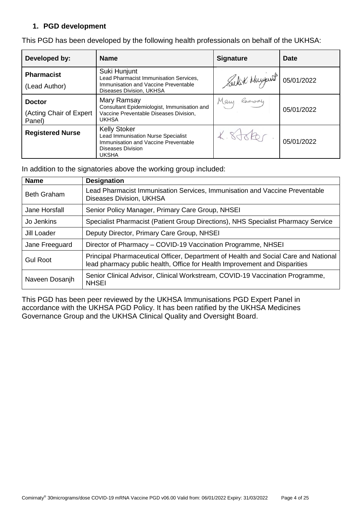### **1. PGD development**

| Developed by:                            | <b>Name</b>                                                                                                                                          | <b>Signature</b>        | Date       |
|------------------------------------------|------------------------------------------------------------------------------------------------------------------------------------------------------|-------------------------|------------|
| <b>Pharmacist</b><br>(Lead Author)       | Suki Hunjunt<br>Lead Pharmacist Immunisation Services,<br>Immunisation and Vaccine Preventable<br>Diseases Division, UKHSA                           | Sulit days 1 05/01/2022 |            |
| <b>Doctor</b><br>(Acting Chair of Expert | Mary Ramsay<br>Consultant Epidemiologist, Immunisation and<br>Vaccine Preventable Diseases Division,                                                 | Ramsay<br>Many          | 05/01/2022 |
| Panel)                                   | <b>UKHSA</b>                                                                                                                                         |                         |            |
| <b>Registered Nurse</b>                  | <b>Kelly Stoker</b><br><b>Lead Immunisation Nurse Specialist</b><br>Immunisation and Vaccine Preventable<br><b>Diseases Division</b><br><b>UKSHA</b> | X.8J6Rc                 | 05/01/2022 |

This PGD has been developed by the following health professionals on behalf of the UKHSA:

In addition to the signatories above the working group included:

| <b>Name</b>        | <b>Designation</b>                                                                                                                                                |
|--------------------|-------------------------------------------------------------------------------------------------------------------------------------------------------------------|
| <b>Beth Graham</b> | Lead Pharmacist Immunisation Services, Immunisation and Vaccine Preventable<br>Diseases Division, UKHSA                                                           |
| Jane Horsfall      | Senior Policy Manager, Primary Care Group, NHSEI                                                                                                                  |
| Jo Jenkins         | Specialist Pharmacist (Patient Group Directions), NHS Specialist Pharmacy Service                                                                                 |
| Jill Loader        | Deputy Director, Primary Care Group, NHSEI                                                                                                                        |
| Jane Freeguard     | Director of Pharmacy - COVID-19 Vaccination Programme, NHSEI                                                                                                      |
| Gul Root           | Principal Pharmaceutical Officer, Department of Health and Social Care and National<br>lead pharmacy public health, Office for Health Improvement and Disparities |
| Naveen Dosanjh     | Senior Clinical Advisor, Clinical Workstream, COVID-19 Vaccination Programme,<br><b>NHSEI</b>                                                                     |

This PGD has been peer reviewed by the UKHSA Immunisations PGD Expert Panel in accordance with the UKHSA PGD Policy. It has been ratified by the UKHSA Medicines Governance Group and the UKHSA Clinical Quality and Oversight Board.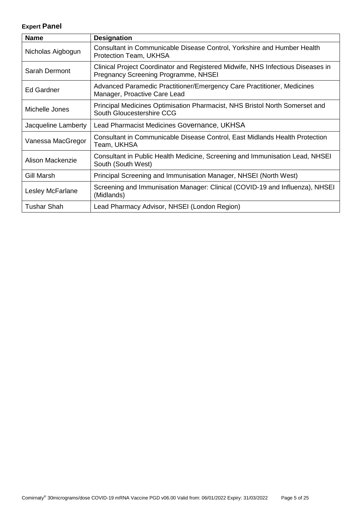## **Expert Panel**

<span id="page-4-0"></span>

| <b>Name</b>         | <b>Designation</b>                                                                                                      |
|---------------------|-------------------------------------------------------------------------------------------------------------------------|
| Nicholas Aigbogun   | Consultant in Communicable Disease Control, Yorkshire and Humber Health<br>Protection Team, UKHSA                       |
| Sarah Dermont       | Clinical Project Coordinator and Registered Midwife, NHS Infectious Diseases in<br>Pregnancy Screening Programme, NHSEI |
| Ed Gardner          | Advanced Paramedic Practitioner/Emergency Care Practitioner, Medicines<br>Manager, Proactive Care Lead                  |
| Michelle Jones      | Principal Medicines Optimisation Pharmacist, NHS Bristol North Somerset and<br>South Gloucestershire CCG                |
| Jacqueline Lamberty | Lead Pharmacist Medicines Governance, UKHSA                                                                             |
| Vanessa MacGregor   | Consultant in Communicable Disease Control, East Midlands Health Protection<br>Team, UKHSA                              |
| Alison Mackenzie    | Consultant in Public Health Medicine, Screening and Immunisation Lead, NHSEI<br>South (South West)                      |
| Gill Marsh          | Principal Screening and Immunisation Manager, NHSEI (North West)                                                        |
| Lesley McFarlane    | Screening and Immunisation Manager: Clinical (COVID-19 and Influenza), NHSEI<br>(Midlands)                              |
| Tushar Shah         | Lead Pharmacy Advisor, NHSEI (London Region)                                                                            |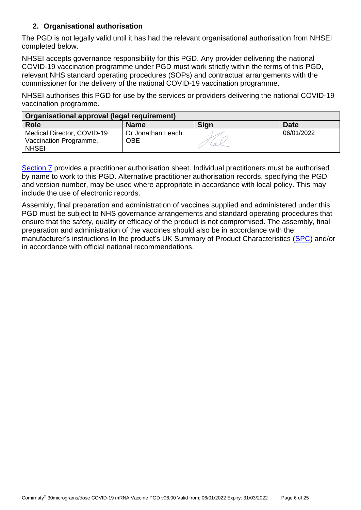## **2. Organisational authorisation**

The PGD is not legally valid until it has had the relevant organisational authorisation from NHSEI completed below.

NHSEI accepts governance responsibility for this PGD. Any provider delivering the national COVID-19 vaccination programme under PGD must work strictly within the terms of this PGD, relevant NHS standard operating procedures (SOPs) and contractual arrangements with the commissioner for the delivery of the national COVID-19 vaccination programme.

NHSEI authorises this PGD for use by the services or providers delivering the national COVID-19 vaccination programme.

| Organisational approval (legal requirement)                          |                          |      |             |
|----------------------------------------------------------------------|--------------------------|------|-------------|
| <b>Role</b>                                                          | <b>Name</b>              | Sign | <b>Date</b> |
| Medical Director, COVID-19<br>Vaccination Programme,<br><b>NHSEI</b> | Dr Jonathan Leach<br>OBE |      | 06/01/2022  |

[Section 7](#page-22-0) provides a practitioner authorisation sheet. Individual practitioners must be authorised by name to work to this PGD. Alternative practitioner authorisation records, specifying the PGD and version number, may be used where appropriate in accordance with local policy. This may include the use of electronic records.

Assembly, final preparation and administration of vaccines supplied and administered under this PGD must be subject to NHS governance arrangements and standard operating procedures that ensure that the safety, quality or efficacy of the product is not compromised. The assembly, final preparation and administration of the vaccines should also be in accordance with the manufacturer's instructions in the product's UK Summary of Product Characteristics [\(SPC\)](https://www.medicines.org.uk/emc/product/12740) and/or in accordance with official national recommendations.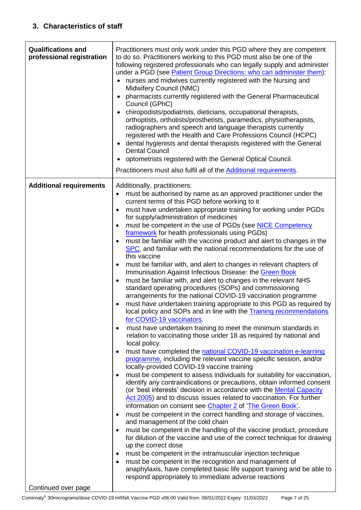<span id="page-6-1"></span><span id="page-6-0"></span>

| <b>Qualifications and</b><br>professional registration | Practitioners must only work under this PGD where they are competent<br>to do so. Practitioners working to this PGD must also be one of the<br>following registered professionals who can legally supply and administer<br>under a PGD (see <b>Patient Group Directions: who can administer them</b> ):<br>nurses and midwives currently registered with the Nursing and<br>Midwifery Council (NMC)<br>pharmacists currently registered with the General Pharmaceutical<br>Council (GPhC)<br>chiropodists/podiatrists, dieticians, occupational therapists,<br>$\bullet$<br>orthoptists, orthotists/prosthetists, paramedics, physiotherapists,<br>radiographers and speech and language therapists currently<br>registered with the Health and Care Professions Council (HCPC)<br>dental hygienists and dental therapists registered with the General<br>$\bullet$<br><b>Dental Council</b><br>optometrists registered with the General Optical Council.<br>Practitioners must also fulfil all of the Additional requirements.                                                                                                                                                                                                                                                                                                                                                                                                                                                                                                                                                                                                                                                                                                                                                                                                                                                                                                                                                                                                                                                                                                                                                                                                                                                                                                                                                                                                                                      |
|--------------------------------------------------------|----------------------------------------------------------------------------------------------------------------------------------------------------------------------------------------------------------------------------------------------------------------------------------------------------------------------------------------------------------------------------------------------------------------------------------------------------------------------------------------------------------------------------------------------------------------------------------------------------------------------------------------------------------------------------------------------------------------------------------------------------------------------------------------------------------------------------------------------------------------------------------------------------------------------------------------------------------------------------------------------------------------------------------------------------------------------------------------------------------------------------------------------------------------------------------------------------------------------------------------------------------------------------------------------------------------------------------------------------------------------------------------------------------------------------------------------------------------------------------------------------------------------------------------------------------------------------------------------------------------------------------------------------------------------------------------------------------------------------------------------------------------------------------------------------------------------------------------------------------------------------------------------------------------------------------------------------------------------------------------------------------------------------------------------------------------------------------------------------------------------------------------------------------------------------------------------------------------------------------------------------------------------------------------------------------------------------------------------------------------------------------------------------------------------------------------------------------------------|
| <b>Additional requirements</b>                         | Additionally, practitioners:<br>must be authorised by name as an approved practitioner under the<br>$\bullet$<br>current terms of this PGD before working to it<br>must have undertaken appropriate training for working under PGDs<br>for supply/administration of medicines<br>must be competent in the use of PGDs (see NICE Competency<br>٠<br>framework for health professionals using PGDs)<br>must be familiar with the vaccine product and alert to changes in the<br>٠<br>SPC, and familiar with the national recommendations for the use of<br>this vaccine<br>must be familiar with, and alert to changes in relevant chapters of<br>٠<br>Immunisation Against Infectious Disease: the Green Book<br>must be familiar with, and alert to changes in the relevant NHS<br>$\bullet$<br>standard operating procedures (SOPs) and commissioning<br>arrangements for the national COVID-19 vaccination programme<br>must have undertaken training appropriate to this PGD as required by<br>local policy and SOPs and in line with the <b>Training recommendations</b><br>for COVID-19 vaccinators.<br>must have undertaken training to meet the minimum standards in<br>$\bullet$<br>relation to vaccinating those under 18 as required by national and<br>local policy.<br>must have completed the national COVID-19 vaccination e-learning<br>$\bullet$<br>programme, including the relevant vaccine specific session, and/or<br>locally-provided COVID-19 vaccine training<br>must be competent to assess individuals for suitability for vaccination,<br>$\bullet$<br>identify any contraindications or precautions, obtain informed consent<br>(or 'best interests' decision in accordance with the <b>Mental Capacity</b><br>Act 2005) and to discuss issues related to vaccination. For further<br>information on consent see Chapter 2 of 'The Green Book'.<br>must be competent in the correct handling and storage of vaccines,<br>$\bullet$<br>and management of the cold chain<br>must be competent in the handling of the vaccine product, procedure<br>$\bullet$<br>for dilution of the vaccine and use of the correct technique for drawing<br>up the correct dose<br>must be competent in the intramuscular injection technique<br>٠<br>must be competent in the recognition and management of<br>$\bullet$<br>anaphylaxis, have completed basic life support training and be able to<br>respond appropriately to immediate adverse reactions |
| Continued over page                                    |                                                                                                                                                                                                                                                                                                                                                                                                                                                                                                                                                                                                                                                                                                                                                                                                                                                                                                                                                                                                                                                                                                                                                                                                                                                                                                                                                                                                                                                                                                                                                                                                                                                                                                                                                                                                                                                                                                                                                                                                                                                                                                                                                                                                                                                                                                                                                                                                                                                                      |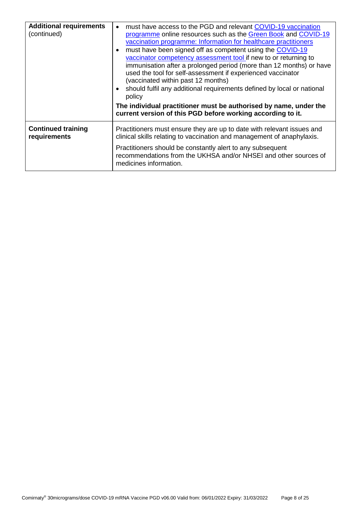|                                           | immunisation after a prolonged period (more than 12 months) or have<br>used the tool for self-assessment if experienced vaccinator<br>(vaccinated within past 12 months)<br>should fulfil any additional requirements defined by local or national<br>policy<br>The individual practitioner must be authorised by name, under the<br>current version of this PGD before working according to it. |
|-------------------------------------------|--------------------------------------------------------------------------------------------------------------------------------------------------------------------------------------------------------------------------------------------------------------------------------------------------------------------------------------------------------------------------------------------------|
| <b>Continued training</b><br>requirements | Practitioners must ensure they are up to date with relevant issues and<br>clinical skills relating to vaccination and management of anaphylaxis.<br>Practitioners should be constantly alert to any subsequent<br>recommendations from the UKHSA and/or NHSEI and other sources of<br>medicines information.                                                                                     |
|                                           |                                                                                                                                                                                                                                                                                                                                                                                                  |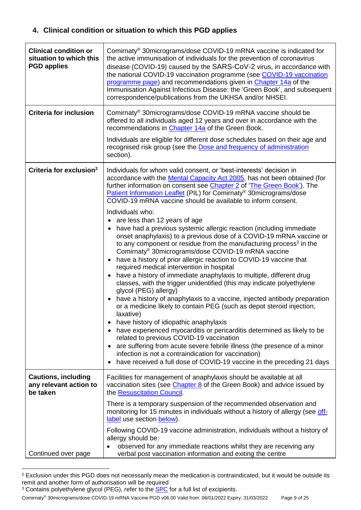## **4. Clinical condition or situation to which this PGD applies**

| <b>Clinical condition or</b><br>situation to which this<br><b>PGD applies</b> | Comirnaty <sup>®</sup> 30micrograms/dose COVID-19 mRNA vaccine is indicated for<br>the active immunisation of individuals for the prevention of coronavirus<br>disease (COVID-19) caused by the SARS-CoV-2 virus, in accordance with<br>the national COVID-19 vaccination programme (see COVID-19 vaccination<br>programme page) and recommendations given in Chapter 14a of the<br>Immunisation Against Infectious Disease: the 'Green Book', and subsequent<br>correspondence/publications from the UKHSA and/or NHSEI.                                                                                                                                                                                                                                                                                                                                                                                                                                                                                                                                                                                                                                                                                                                                                                                                                                                                                                                                                                                                                                                                  |
|-------------------------------------------------------------------------------|--------------------------------------------------------------------------------------------------------------------------------------------------------------------------------------------------------------------------------------------------------------------------------------------------------------------------------------------------------------------------------------------------------------------------------------------------------------------------------------------------------------------------------------------------------------------------------------------------------------------------------------------------------------------------------------------------------------------------------------------------------------------------------------------------------------------------------------------------------------------------------------------------------------------------------------------------------------------------------------------------------------------------------------------------------------------------------------------------------------------------------------------------------------------------------------------------------------------------------------------------------------------------------------------------------------------------------------------------------------------------------------------------------------------------------------------------------------------------------------------------------------------------------------------------------------------------------------------|
| <b>Criteria for inclusion</b>                                                 | Comirnaty <sup>®</sup> 30micrograms/dose COVID-19 mRNA vaccine should be<br>offered to all individuals aged 12 years and over in accordance with the<br>recommendations in Chapter 14a of the Green Book.                                                                                                                                                                                                                                                                                                                                                                                                                                                                                                                                                                                                                                                                                                                                                                                                                                                                                                                                                                                                                                                                                                                                                                                                                                                                                                                                                                                  |
|                                                                               | Individuals are eligible for different dose schedules based on their age and<br>recognised risk group (see the Dose and frequency of administration<br>section).                                                                                                                                                                                                                                                                                                                                                                                                                                                                                                                                                                                                                                                                                                                                                                                                                                                                                                                                                                                                                                                                                                                                                                                                                                                                                                                                                                                                                           |
| Criteria for exclusion <sup>2</sup>                                           | Individuals for whom valid consent, or 'best-interests' decision in<br>accordance with the Mental Capacity Act 2005, has not been obtained (for<br>further information on consent see Chapter 2 of 'The Green Book'). The<br>Patient Information Leaflet (PIL) for Comirnaty® 30micrograms/dose<br>COVID-19 mRNA vaccine should be available to inform consent.<br>Individuals who:<br>• are less than 12 years of age<br>• have had a previous systemic allergic reaction (including immediate<br>onset anaphylaxis) to a previous dose of a COVID-19 mRNA vaccine or<br>to any component or residue from the manufacturing process <sup>3</sup> in the<br>Comirnaty <sup>®</sup> 30micrograms/dose COVID-19 mRNA vaccine<br>• have a history of prior allergic reaction to COVID-19 vaccine that<br>required medical intervention in hospital<br>have a history of immediate anaphylaxis to multiple, different drug<br>classes, with the trigger unidentified (this may indicate polyethylene<br>glycol (PEG) allergy)<br>• have a history of anaphylaxis to a vaccine, injected antibody preparation<br>or a medicine likely to contain PEG (such as depot steroid injection,<br>laxative)<br>have history of idiopathic anaphylaxis<br>have experienced myocarditis or pericarditis determined as likely to be<br>related to previous COVID-19 vaccination<br>are suffering from acute severe febrile illness (the presence of a minor<br>$\bullet$<br>infection is not a contraindication for vaccination)<br>have received a full dose of COVID-19 vaccine in the preceding 21 days |
| <b>Cautions, including</b><br>any relevant action to<br>be taken              | Facilities for management of anaphylaxis should be available at all<br>vaccination sites (see Chapter 8 of the Green Book) and advice issued by<br>the Resuscitation Council.                                                                                                                                                                                                                                                                                                                                                                                                                                                                                                                                                                                                                                                                                                                                                                                                                                                                                                                                                                                                                                                                                                                                                                                                                                                                                                                                                                                                              |
|                                                                               | There is a temporary suspension of the recommended observation and<br>monitoring for 15 minutes in individuals without a history of allergy (see off-<br>label use section below).                                                                                                                                                                                                                                                                                                                                                                                                                                                                                                                                                                                                                                                                                                                                                                                                                                                                                                                                                                                                                                                                                                                                                                                                                                                                                                                                                                                                         |
| Continued over page                                                           | Following COVID-19 vaccine administration, individuals without a history of<br>allergy should be:<br>observed for any immediate reactions whilst they are receiving any<br>verbal post vaccination information and exiting the centre                                                                                                                                                                                                                                                                                                                                                                                                                                                                                                                                                                                                                                                                                                                                                                                                                                                                                                                                                                                                                                                                                                                                                                                                                                                                                                                                                      |

<sup>&</sup>lt;sup>2</sup> Exclusion under this PGD does not necessarily mean the medication is contraindicated, but it would be outside its remit and another form of authorisation will be required

1

Comirnaty® 30micrograms/dose COVID-19 mRNA Vaccine PGD v06.00 Valid from: 06/01/2022 Expiry: 31/03/2022 Page 9 of 25

<sup>&</sup>lt;sup>3</sup> Contains polyethylene glycol (PEG), refer to the **SPC** for a full list of excipients.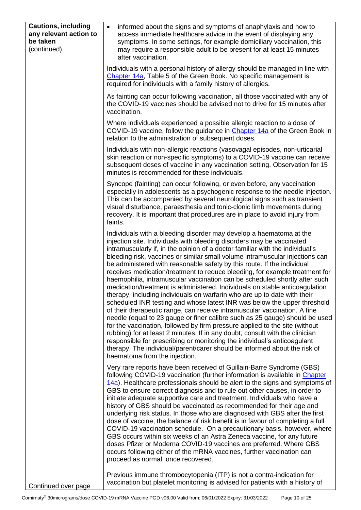| <b>Cautions, including</b><br>any relevant action to<br>be taken<br>(continued) | informed about the signs and symptoms of anaphylaxis and how to<br>$\bullet$<br>access immediate healthcare advice in the event of displaying any<br>symptoms. In some settings, for example domiciliary vaccination, this<br>may require a responsible adult to be present for at least 15 minutes<br>after vaccination.                                                                                                                                                                                                                                                                                                                                                                                                                                                                                                                                                                                                                                                                                                                                                                                                                                                                                                                                                                                         |
|---------------------------------------------------------------------------------|-------------------------------------------------------------------------------------------------------------------------------------------------------------------------------------------------------------------------------------------------------------------------------------------------------------------------------------------------------------------------------------------------------------------------------------------------------------------------------------------------------------------------------------------------------------------------------------------------------------------------------------------------------------------------------------------------------------------------------------------------------------------------------------------------------------------------------------------------------------------------------------------------------------------------------------------------------------------------------------------------------------------------------------------------------------------------------------------------------------------------------------------------------------------------------------------------------------------------------------------------------------------------------------------------------------------|
|                                                                                 | Individuals with a personal history of allergy should be managed in line with<br>Chapter 14a, Table 5 of the Green Book. No specific management is<br>required for individuals with a family history of allergies.                                                                                                                                                                                                                                                                                                                                                                                                                                                                                                                                                                                                                                                                                                                                                                                                                                                                                                                                                                                                                                                                                                |
|                                                                                 | As fainting can occur following vaccination, all those vaccinated with any of<br>the COVID-19 vaccines should be advised not to drive for 15 minutes after<br>vaccination.                                                                                                                                                                                                                                                                                                                                                                                                                                                                                                                                                                                                                                                                                                                                                                                                                                                                                                                                                                                                                                                                                                                                        |
|                                                                                 | Where individuals experienced a possible allergic reaction to a dose of<br>COVID-19 vaccine, follow the guidance in Chapter 14a of the Green Book in<br>relation to the administration of subsequent doses.                                                                                                                                                                                                                                                                                                                                                                                                                                                                                                                                                                                                                                                                                                                                                                                                                                                                                                                                                                                                                                                                                                       |
|                                                                                 | Individuals with non-allergic reactions (vasovagal episodes, non-urticarial<br>skin reaction or non-specific symptoms) to a COVID-19 vaccine can receive<br>subsequent doses of vaccine in any vaccination setting. Observation for 15<br>minutes is recommended for these individuals.                                                                                                                                                                                                                                                                                                                                                                                                                                                                                                                                                                                                                                                                                                                                                                                                                                                                                                                                                                                                                           |
|                                                                                 | Syncope (fainting) can occur following, or even before, any vaccination<br>especially in adolescents as a psychogenic response to the needle injection.<br>This can be accompanied by several neurological signs such as transient<br>visual disturbance, paraesthesia and tonic-clonic limb movements during<br>recovery. It is important that procedures are in place to avoid injury from<br>faints.                                                                                                                                                                                                                                                                                                                                                                                                                                                                                                                                                                                                                                                                                                                                                                                                                                                                                                           |
|                                                                                 | Individuals with a bleeding disorder may develop a haematoma at the<br>injection site. Individuals with bleeding disorders may be vaccinated<br>intramuscularly if, in the opinion of a doctor familiar with the individual's<br>bleeding risk, vaccines or similar small volume intramuscular injections can<br>be administered with reasonable safety by this route. If the individual<br>receives medication/treatment to reduce bleeding, for example treatment for<br>haemophilia, intramuscular vaccination can be scheduled shortly after such<br>medication/treatment is administered. Individuals on stable anticoagulation<br>therapy, including individuals on warfarin who are up to date with their<br>scheduled INR testing and whose latest INR was below the upper threshold<br>of their therapeutic range, can receive intramuscular vaccination. A fine<br>needle (equal to 23 gauge or finer calibre such as 25 gauge) should be used<br>for the vaccination, followed by firm pressure applied to the site (without<br>rubbing) for at least 2 minutes. If in any doubt, consult with the clinician<br>responsible for prescribing or monitoring the individual's anticoagulant<br>therapy. The individual/parent/carer should be informed about the risk of<br>haematoma from the injection. |
|                                                                                 | Very rare reports have been received of Guillain-Barre Syndrome (GBS)<br>following COVID-19 vaccination (further information is available in Chapter<br>14a). Healthcare professionals should be alert to the signs and symptoms of<br>GBS to ensure correct diagnosis and to rule out other causes, in order to<br>initiate adequate supportive care and treatment. Individuals who have a<br>history of GBS should be vaccinated as recommended for their age and<br>underlying risk status. In those who are diagnosed with GBS after the first<br>dose of vaccine, the balance of risk benefit is in favour of completing a full<br>COVID-19 vaccination schedule. On a precautionary basis, however, where<br>GBS occurs within six weeks of an Astra Zeneca vaccine, for any future<br>doses Pfizer or Moderna COVID-19 vaccines are preferred. Where GBS<br>occurs following either of the mRNA vaccines, further vaccination can<br>proceed as normal, once recovered.                                                                                                                                                                                                                                                                                                                                    |
| Continued over nage                                                             | Previous immune thrombocytopenia (ITP) is not a contra-indication for<br>vaccination but platelet monitoring is advised for patients with a history of                                                                                                                                                                                                                                                                                                                                                                                                                                                                                                                                                                                                                                                                                                                                                                                                                                                                                                                                                                                                                                                                                                                                                            |

Continued over page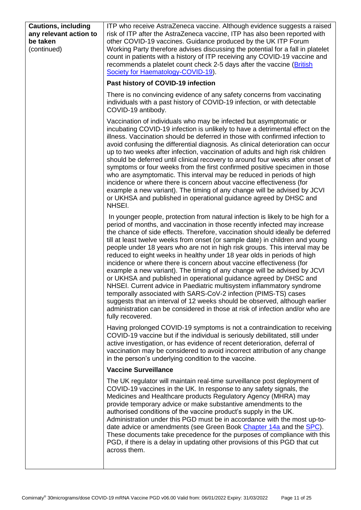<span id="page-10-0"></span>

| <b>Cautions, including</b><br>any relevant action to<br>be taken<br>(continued) | ITP who receive AstraZeneca vaccine. Although evidence suggests a raised<br>risk of ITP after the AstraZeneca vaccine, ITP has also been reported with<br>other COVID-19 vaccines. Guidance produced by the UK ITP Forum<br>Working Party therefore advises discussing the potential for a fall in platelet<br>count in patients with a history of ITP receiving any COVID-19 vaccine and<br>recommends a platelet count check 2-5 days after the vaccine (British<br>Society for Haematology-COVID-19).                                                                                                                                                                                                                                                                                                                                                                                                                                                                                                                                        |
|---------------------------------------------------------------------------------|-------------------------------------------------------------------------------------------------------------------------------------------------------------------------------------------------------------------------------------------------------------------------------------------------------------------------------------------------------------------------------------------------------------------------------------------------------------------------------------------------------------------------------------------------------------------------------------------------------------------------------------------------------------------------------------------------------------------------------------------------------------------------------------------------------------------------------------------------------------------------------------------------------------------------------------------------------------------------------------------------------------------------------------------------|
|                                                                                 | Past history of COVID-19 infection                                                                                                                                                                                                                                                                                                                                                                                                                                                                                                                                                                                                                                                                                                                                                                                                                                                                                                                                                                                                              |
|                                                                                 | There is no convincing evidence of any safety concerns from vaccinating<br>individuals with a past history of COVID-19 infection, or with detectable<br>COVID-19 antibody.                                                                                                                                                                                                                                                                                                                                                                                                                                                                                                                                                                                                                                                                                                                                                                                                                                                                      |
|                                                                                 | Vaccination of individuals who may be infected but asymptomatic or<br>incubating COVID-19 infection is unlikely to have a detrimental effect on the<br>illness. Vaccination should be deferred in those with confirmed infection to<br>avoid confusing the differential diagnosis. As clinical deterioration can occur<br>up to two weeks after infection, vaccination of adults and high risk children<br>should be deferred until clinical recovery to around four weeks after onset of<br>symptoms or four weeks from the first confirmed positive specimen in those<br>who are asymptomatic. This interval may be reduced in periods of high<br>incidence or where there is concern about vaccine effectiveness (for<br>example a new variant). The timing of any change will be advised by JCVI<br>or UKHSA and published in operational guidance agreed by DHSC and<br>NHSEI.                                                                                                                                                             |
|                                                                                 | In younger people, protection from natural infection is likely to be high for a<br>period of months, and vaccination in those recently infected may increase<br>the chance of side effects. Therefore, vaccination should ideally be deferred<br>till at least twelve weeks from onset (or sample date) in children and young<br>people under 18 years who are not in high risk groups. This interval may be<br>reduced to eight weeks in healthy under 18 year olds in periods of high<br>incidence or where there is concern about vaccine effectiveness (for<br>example a new variant). The timing of any change will be advised by JCVI<br>or UKHSA and published in operational guidance agreed by DHSC and<br>NHSEI. Current advice in Paediatric multisystem inflammatory syndrome<br>temporally associated with SARS-CoV-2 infection (PIMS-TS) cases<br>suggests that an interval of 12 weeks should be observed, although earlier<br>administration can be considered in those at risk of infection and/or who are<br>fully recovered. |
|                                                                                 | Having prolonged COVID-19 symptoms is not a contraindication to receiving<br>COVID-19 vaccine but if the individual is seriously debilitated, still under<br>active investigation, or has evidence of recent deterioration, deferral of<br>vaccination may be considered to avoid incorrect attribution of any change<br>in the person's underlying condition to the vaccine.                                                                                                                                                                                                                                                                                                                                                                                                                                                                                                                                                                                                                                                                   |
|                                                                                 | <b>Vaccine Surveillance</b>                                                                                                                                                                                                                                                                                                                                                                                                                                                                                                                                                                                                                                                                                                                                                                                                                                                                                                                                                                                                                     |
|                                                                                 | The UK regulator will maintain real-time surveillance post deployment of<br>COVID-19 vaccines in the UK. In response to any safety signals, the<br>Medicines and Healthcare products Regulatory Agency (MHRA) may<br>provide temporary advice or make substantive amendments to the<br>authorised conditions of the vaccine product's supply in the UK.<br>Administration under this PGD must be in accordance with the most up-to-<br>date advice or amendments (see Green Book Chapter 14a and the SPC).<br>These documents take precedence for the purposes of compliance with this<br>PGD, if there is a delay in updating other provisions of this PGD that cut<br>across them.                                                                                                                                                                                                                                                                                                                                                            |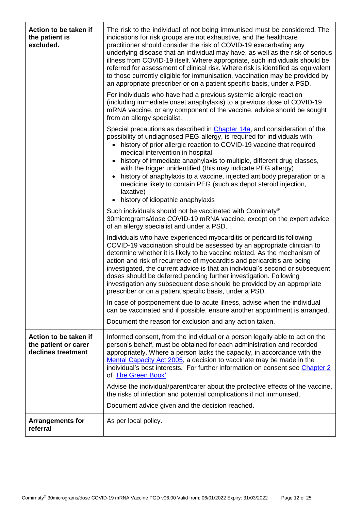| Action to be taken if<br>the patient is<br>excluded.                | The risk to the individual of not being immunised must be considered. The<br>indications for risk groups are not exhaustive, and the healthcare<br>practitioner should consider the risk of COVID-19 exacerbating any<br>underlying disease that an individual may have, as well as the risk of serious<br>illness from COVID-19 itself. Where appropriate, such individuals should be<br>referred for assessment of clinical risk. Where risk is identified as equivalent<br>to those currently eligible for immunisation, vaccination may be provided by<br>an appropriate prescriber or on a patient specific basis, under a PSD. |
|---------------------------------------------------------------------|--------------------------------------------------------------------------------------------------------------------------------------------------------------------------------------------------------------------------------------------------------------------------------------------------------------------------------------------------------------------------------------------------------------------------------------------------------------------------------------------------------------------------------------------------------------------------------------------------------------------------------------|
|                                                                     | For individuals who have had a previous systemic allergic reaction<br>(including immediate onset anaphylaxis) to a previous dose of COVID-19<br>mRNA vaccine, or any component of the vaccine, advice should be sought<br>from an allergy specialist.                                                                                                                                                                                                                                                                                                                                                                                |
|                                                                     | Special precautions as described in Chapter 14a, and consideration of the<br>possibility of undiagnosed PEG-allergy, is required for individuals with:<br>history of prior allergic reaction to COVID-19 vaccine that required<br>$\bullet$<br>medical intervention in hospital<br>history of immediate anaphylaxis to multiple, different drug classes,<br>with the trigger unidentified (this may indicate PEG allergy)<br>history of anaphylaxis to a vaccine, injected antibody preparation or a                                                                                                                                 |
|                                                                     | medicine likely to contain PEG (such as depot steroid injection,<br>laxative)<br>history of idiopathic anaphylaxis<br>$\bullet$                                                                                                                                                                                                                                                                                                                                                                                                                                                                                                      |
|                                                                     | Such individuals should not be vaccinated with Comirnaty <sup>®</sup><br>30 micrograms/dose COVID-19 mRNA vaccine, except on the expert advice<br>of an allergy specialist and under a PSD.                                                                                                                                                                                                                                                                                                                                                                                                                                          |
|                                                                     | Individuals who have experienced myocarditis or pericarditis following<br>COVID-19 vaccination should be assessed by an appropriate clinician to<br>determine whether it is likely to be vaccine related. As the mechanism of<br>action and risk of recurrence of myocarditis and pericarditis are being<br>investigated, the current advice is that an individual's second or subsequent<br>doses should be deferred pending further investigation. Following<br>investigation any subsequent dose should be provided by an appropriate<br>prescriber or on a patient specific basis, under a PSD.                                  |
|                                                                     | In case of postponement due to acute illness, advise when the individual<br>can be vaccinated and if possible, ensure another appointment is arranged.                                                                                                                                                                                                                                                                                                                                                                                                                                                                               |
|                                                                     | Document the reason for exclusion and any action taken.                                                                                                                                                                                                                                                                                                                                                                                                                                                                                                                                                                              |
| Action to be taken if<br>the patient or carer<br>declines treatment | Informed consent, from the individual or a person legally able to act on the<br>person's behalf, must be obtained for each administration and recorded<br>appropriately. Where a person lacks the capacity, in accordance with the<br>Mental Capacity Act 2005, a decision to vaccinate may be made in the<br>individual's best interests. For further information on consent see Chapter 2<br>of 'The Green Book'.                                                                                                                                                                                                                  |
|                                                                     | Advise the individual/parent/carer about the protective effects of the vaccine,<br>the risks of infection and potential complications if not immunised.                                                                                                                                                                                                                                                                                                                                                                                                                                                                              |
|                                                                     | Document advice given and the decision reached.                                                                                                                                                                                                                                                                                                                                                                                                                                                                                                                                                                                      |
| <b>Arrangements for</b><br>referral                                 | As per local policy.                                                                                                                                                                                                                                                                                                                                                                                                                                                                                                                                                                                                                 |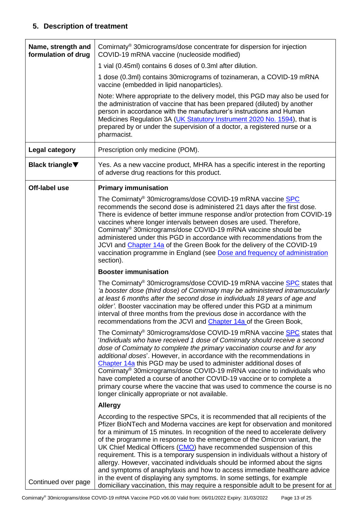## **5. Description of treatment**

<span id="page-12-1"></span><span id="page-12-0"></span>

| Name, strength and<br>formulation of drug | Comirnaty <sup>®</sup> 30micrograms/dose concentrate for dispersion for injection<br>COVID-19 mRNA vaccine (nucleoside modified)                                                                                                                                                                                                                                                                                                                                                                                                                                                                                                                                                                                                                                                                                   |
|-------------------------------------------|--------------------------------------------------------------------------------------------------------------------------------------------------------------------------------------------------------------------------------------------------------------------------------------------------------------------------------------------------------------------------------------------------------------------------------------------------------------------------------------------------------------------------------------------------------------------------------------------------------------------------------------------------------------------------------------------------------------------------------------------------------------------------------------------------------------------|
|                                           | 1 vial (0.45ml) contains 6 doses of 0.3ml after dilution.                                                                                                                                                                                                                                                                                                                                                                                                                                                                                                                                                                                                                                                                                                                                                          |
|                                           | 1 dose (0.3ml) contains 30 micrograms of tozinameran, a COVID-19 mRNA<br>vaccine (embedded in lipid nanoparticles).                                                                                                                                                                                                                                                                                                                                                                                                                                                                                                                                                                                                                                                                                                |
|                                           | Note: Where appropriate to the delivery model, this PGD may also be used for<br>the administration of vaccine that has been prepared (diluted) by another<br>person in accordance with the manufacturer's instructions and Human<br>Medicines Regulation 3A (UK Statutory Instrument 2020 No. 1594), that is<br>prepared by or under the supervision of a doctor, a registered nurse or a<br>pharmacist.                                                                                                                                                                                                                                                                                                                                                                                                           |
| Legal category                            | Prescription only medicine (POM).                                                                                                                                                                                                                                                                                                                                                                                                                                                                                                                                                                                                                                                                                                                                                                                  |
| <b>Black triangle</b> ▼                   | Yes. As a new vaccine product, MHRA has a specific interest in the reporting<br>of adverse drug reactions for this product.                                                                                                                                                                                                                                                                                                                                                                                                                                                                                                                                                                                                                                                                                        |
| Off-label use                             | <b>Primary immunisation</b>                                                                                                                                                                                                                                                                                                                                                                                                                                                                                                                                                                                                                                                                                                                                                                                        |
|                                           | The Comirnaty <sup>®</sup> 30micrograms/dose COVID-19 mRNA vaccine <b>SPC</b><br>recommends the second dose is administered 21 days after the first dose.<br>There is evidence of better immune response and/or protection from COVID-19<br>vaccines where longer intervals between doses are used. Therefore,<br>Comirnaty <sup>®</sup> 30micrograms/dose COVID-19 mRNA vaccine should be<br>administered under this PGD in accordance with recommendations from the<br>JCVI and Chapter 14a of the Green Book for the delivery of the COVID-19<br>vaccination programme in England (see Dose and frequency of administration<br>section).                                                                                                                                                                        |
|                                           | <b>Booster immunisation</b>                                                                                                                                                                                                                                                                                                                                                                                                                                                                                                                                                                                                                                                                                                                                                                                        |
|                                           | The Comirnaty <sup>®</sup> 30micrograms/dose COVID-19 mRNA vaccine SPC states that<br>'a booster dose (third dose) of Comirnaty may be administered intramuscularly<br>at least 6 months after the second dose in individuals 18 years of age and<br>older'. Booster vaccination may be offered under this PGD at a minimum<br>interval of three months from the previous dose in accordance with the<br>recommendations from the JCVI and Chapter 14a of the Green Book,                                                                                                                                                                                                                                                                                                                                          |
|                                           | The Comirnaty <sup>®</sup> 30 micrograms/dose COVID-19 mRNA vaccine SPC states that<br>'Individuals who have received 1 dose of Comirnaty should receive a second<br>dose of Comirnaty to complete the primary vaccination course and for any<br>additional doses'. However, in accordance with the recommendations in<br>Chapter 14a this PGD may be used to administer additional doses of<br>Comirnaty <sup>®</sup> 30micrograms/dose COVID-19 mRNA vaccine to individuals who<br>have completed a course of another COVID-19 vaccine or to complete a<br>primary course where the vaccine that was used to commence the course is no<br>longer clinically appropriate or not available.                                                                                                                        |
|                                           | <b>Allergy</b>                                                                                                                                                                                                                                                                                                                                                                                                                                                                                                                                                                                                                                                                                                                                                                                                     |
| Continued over page                       | According to the respective SPCs, it is recommended that all recipients of the<br>Pfizer BioNTech and Moderna vaccines are kept for observation and monitored<br>for a minimum of 15 minutes. In recognition of the need to accelerate delivery<br>of the programme in response to the emergence of the Omicron variant, the<br>UK Chief Medical Officers (CMO) have recommended suspension of this<br>requirement. This is a temporary suspension in individuals without a history of<br>allergy. However, vaccinated individuals should be informed about the signs<br>and symptoms of anaphylaxis and how to access immediate healthcare advice<br>in the event of displaying any symptoms. In some settings, for example<br>domiciliary vaccination, this may require a responsible adult to be present for at |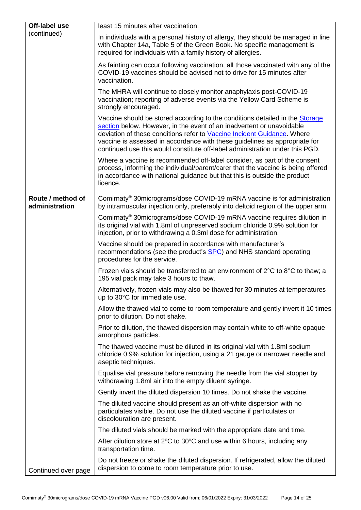| Off-label use                       | least 15 minutes after vaccination.                                                                                                                                                                                                                                                                                                                                                            |
|-------------------------------------|------------------------------------------------------------------------------------------------------------------------------------------------------------------------------------------------------------------------------------------------------------------------------------------------------------------------------------------------------------------------------------------------|
| (continued)                         | In individuals with a personal history of allergy, they should be managed in line<br>with Chapter 14a, Table 5 of the Green Book. No specific management is<br>required for individuals with a family history of allergies.                                                                                                                                                                    |
|                                     | As fainting can occur following vaccination, all those vaccinated with any of the<br>COVID-19 vaccines should be advised not to drive for 15 minutes after<br>vaccination.                                                                                                                                                                                                                     |
|                                     | The MHRA will continue to closely monitor anaphylaxis post-COVID-19<br>vaccination; reporting of adverse events via the Yellow Card Scheme is<br>strongly encouraged.                                                                                                                                                                                                                          |
|                                     | Vaccine should be stored according to the conditions detailed in the Storage<br>section below. However, in the event of an inadvertent or unavoidable<br>deviation of these conditions refer to Vaccine Incident Guidance. Where<br>vaccine is assessed in accordance with these guidelines as appropriate for<br>continued use this would constitute off-label administration under this PGD. |
|                                     | Where a vaccine is recommended off-label consider, as part of the consent<br>process, informing the individual/parent/carer that the vaccine is being offered<br>in accordance with national guidance but that this is outside the product<br>licence.                                                                                                                                         |
| Route / method of<br>administration | Comirnaty <sup>®</sup> 30micrograms/dose COVID-19 mRNA vaccine is for administration<br>by intramuscular injection only, preferably into deltoid region of the upper arm.                                                                                                                                                                                                                      |
|                                     | Comirnaty <sup>®</sup> 30micrograms/dose COVID-19 mRNA vaccine requires dilution in<br>its original vial with 1.8ml of unpreserved sodium chloride 0.9% solution for<br>injection, prior to withdrawing a 0.3ml dose for administration.                                                                                                                                                       |
|                                     | Vaccine should be prepared in accordance with manufacturer's<br>recommendations (see the product's SPC) and NHS standard operating<br>procedures for the service.                                                                                                                                                                                                                              |
|                                     | Frozen vials should be transferred to an environment of $2^{\circ}$ C to $8^{\circ}$ C to thaw; a<br>195 vial pack may take 3 hours to thaw.                                                                                                                                                                                                                                                   |
|                                     | Alternatively, frozen vials may also be thawed for 30 minutes at temperatures<br>up to 30°C for immediate use.                                                                                                                                                                                                                                                                                 |
|                                     | Allow the thawed vial to come to room temperature and gently invert it 10 times<br>prior to dilution. Do not shake.                                                                                                                                                                                                                                                                            |
|                                     | Prior to dilution, the thawed dispersion may contain white to off-white opaque<br>amorphous particles.                                                                                                                                                                                                                                                                                         |
|                                     | The thawed vaccine must be diluted in its original vial with 1.8ml sodium<br>chloride 0.9% solution for injection, using a 21 gauge or narrower needle and<br>aseptic techniques.                                                                                                                                                                                                              |
|                                     | Equalise vial pressure before removing the needle from the vial stopper by<br>withdrawing 1.8ml air into the empty diluent syringe.                                                                                                                                                                                                                                                            |
|                                     | Gently invert the diluted dispersion 10 times. Do not shake the vaccine.                                                                                                                                                                                                                                                                                                                       |
|                                     | The diluted vaccine should present as an off-white dispersion with no<br>particulates visible. Do not use the diluted vaccine if particulates or<br>discolouration are present.                                                                                                                                                                                                                |
|                                     | The diluted vials should be marked with the appropriate date and time.                                                                                                                                                                                                                                                                                                                         |
|                                     | After dilution store at 2°C to 30°C and use within 6 hours, including any<br>transportation time.                                                                                                                                                                                                                                                                                              |
| Continued over page                 | Do not freeze or shake the diluted dispersion. If refrigerated, allow the diluted<br>dispersion to come to room temperature prior to use.                                                                                                                                                                                                                                                      |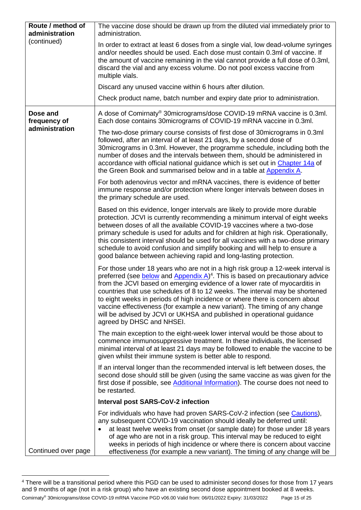<span id="page-14-0"></span>

| Route / method of<br>administration<br>(continued) | The vaccine dose should be drawn up from the diluted vial immediately prior to<br>administration.                                                                                                                                                                                                                                                                                                                                                                                                                                                                                                                  |
|----------------------------------------------------|--------------------------------------------------------------------------------------------------------------------------------------------------------------------------------------------------------------------------------------------------------------------------------------------------------------------------------------------------------------------------------------------------------------------------------------------------------------------------------------------------------------------------------------------------------------------------------------------------------------------|
|                                                    | In order to extract at least 6 doses from a single vial, low dead-volume syringes<br>and/or needles should be used. Each dose must contain 0.3ml of vaccine. If<br>the amount of vaccine remaining in the vial cannot provide a full dose of 0.3ml,<br>discard the vial and any excess volume. Do not pool excess vaccine from<br>multiple vials.                                                                                                                                                                                                                                                                  |
|                                                    | Discard any unused vaccine within 6 hours after dilution.                                                                                                                                                                                                                                                                                                                                                                                                                                                                                                                                                          |
|                                                    | Check product name, batch number and expiry date prior to administration.                                                                                                                                                                                                                                                                                                                                                                                                                                                                                                                                          |
| Dose and<br>frequency of                           | A dose of Comirnaty <sup>®</sup> 30micrograms/dose COVID-19 mRNA vaccine is 0.3ml.<br>Each dose contains 30micrograms of COVID-19 mRNA vaccine in 0.3ml.                                                                                                                                                                                                                                                                                                                                                                                                                                                           |
| administration                                     | The two-dose primary course consists of first dose of 30 micrograms in 0.3 ml<br>followed, after an interval of at least 21 days, by a second dose of<br>30 micrograms in 0.3ml. However, the programme schedule, including both the<br>number of doses and the intervals between them, should be administered in<br>accordance with official national guidance which is set out in Chapter 14a of<br>the Green Book and summarised below and in a table at Appendix A.                                                                                                                                            |
|                                                    | For both adenovirus vector and mRNA vaccines, there is evidence of better<br>immune response and/or protection where longer intervals between doses in<br>the primary schedule are used.                                                                                                                                                                                                                                                                                                                                                                                                                           |
|                                                    | Based on this evidence, longer intervals are likely to provide more durable<br>protection. JCVI is currently recommending a minimum interval of eight weeks<br>between doses of all the available COVID-19 vaccines where a two-dose<br>primary schedule is used for adults and for children at high risk. Operationally,<br>this consistent interval should be used for all vaccines with a two-dose primary<br>schedule to avoid confusion and simplify booking and will help to ensure a<br>good balance between achieving rapid and long-lasting protection.                                                   |
|                                                    | For those under 18 years who are not in a high risk group a 12-week interval is<br>preferred (see below and Appendix $A$ ) <sup>4</sup> . This is based on precautionary advice<br>from the JCVI based on emerging evidence of a lower rate of myocarditis in<br>countries that use schedules of 8 to 12 weeks. The interval may be shortened<br>to eight weeks in periods of high incidence or where there is concern about<br>vaccine effectiveness (for example a new variant). The timing of any change<br>will be advised by JCVI or UKHSA and published in operational guidance<br>agreed by DHSC and NHSEI. |
|                                                    | The main exception to the eight-week lower interval would be those about to<br>commence immunosuppressive treatment. In these individuals, the licensed<br>minimal interval of at least 21 days may be followed to enable the vaccine to be<br>given whilst their immune system is better able to respond.                                                                                                                                                                                                                                                                                                         |
|                                                    | If an interval longer than the recommended interval is left between doses, the<br>second dose should still be given (using the same vaccine as was given for the<br>first dose if possible, see Additional Information). The course does not need to<br>be restarted.                                                                                                                                                                                                                                                                                                                                              |
|                                                    | <b>Interval post SARS-CoV-2 infection</b>                                                                                                                                                                                                                                                                                                                                                                                                                                                                                                                                                                          |
| Continued over page                                | For individuals who have had proven SARS-CoV-2 infection (see Cautions),<br>any subsequent COVID-19 vaccination should ideally be deferred until:<br>at least twelve weeks from onset (or sample date) for those under 18 years<br>of age who are not in a risk group. This interval may be reduced to eight<br>weeks in periods of high incidence or where there is concern about vaccine<br>effectiveness (for example a new variant). The timing of any change will be                                                                                                                                          |

Comirnaty® 30micrograms/dose COVID-19 mRNA Vaccine PGD v06.00 Valid from: 06/01/2022 Expiry: 31/03/2022 Page 15 of 25 <sup>4</sup> There will be a transitional period where this PGD can be used to administer second doses for those from 17 years and 9 months of age (not in a risk group) who have an existing second dose appointment booked at 8 weeks.

<span id="page-14-1"></span>1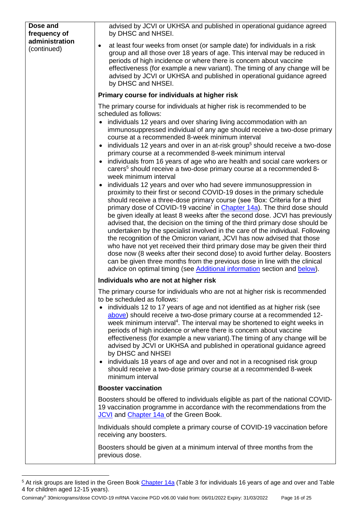<span id="page-15-3"></span><span id="page-15-1"></span>

| Dose and<br>frequency of<br>administration<br>(continued) | advised by JCVI or UKHSA and published in operational guidance agreed<br>by DHSC and NHSEI.                                                                                                                                                                                                                                                                                                                                                                                                                                                                                                                                                                                                                                                                                                                                                                                                                                                                                                                                                                                                                                                                                                                                                                                                                                                                                                                                                                                                                                                                                                                                                           |
|-----------------------------------------------------------|-------------------------------------------------------------------------------------------------------------------------------------------------------------------------------------------------------------------------------------------------------------------------------------------------------------------------------------------------------------------------------------------------------------------------------------------------------------------------------------------------------------------------------------------------------------------------------------------------------------------------------------------------------------------------------------------------------------------------------------------------------------------------------------------------------------------------------------------------------------------------------------------------------------------------------------------------------------------------------------------------------------------------------------------------------------------------------------------------------------------------------------------------------------------------------------------------------------------------------------------------------------------------------------------------------------------------------------------------------------------------------------------------------------------------------------------------------------------------------------------------------------------------------------------------------------------------------------------------------------------------------------------------------|
|                                                           | at least four weeks from onset (or sample date) for individuals in a risk<br>٠<br>group and all those over 18 years of age. This interval may be reduced in<br>periods of high incidence or where there is concern about vaccine<br>effectiveness (for example a new variant). The timing of any change will be<br>advised by JCVI or UKHSA and published in operational guidance agreed<br>by DHSC and NHSEI.                                                                                                                                                                                                                                                                                                                                                                                                                                                                                                                                                                                                                                                                                                                                                                                                                                                                                                                                                                                                                                                                                                                                                                                                                                        |
|                                                           | Primary course for individuals at higher risk                                                                                                                                                                                                                                                                                                                                                                                                                                                                                                                                                                                                                                                                                                                                                                                                                                                                                                                                                                                                                                                                                                                                                                                                                                                                                                                                                                                                                                                                                                                                                                                                         |
|                                                           | The primary course for individuals at higher risk is recommended to be<br>scheduled as follows:<br>• individuals 12 years and over sharing living accommodation with an<br>immunosuppressed individual of any age should receive a two-dose primary<br>course at a recommended 8-week minimum interval<br>• individuals 12 years and over in an at-risk group <sup>5</sup> should receive a two-dose<br>primary course at a recommended 8-week minimum interval<br>individuals from 16 years of age who are health and social care workers or<br>$\bullet$<br>carers <sup>5</sup> should receive a two-dose primary course at a recommended 8-<br>week minimum interval<br>individuals 12 years and over who had severe immunosuppression in<br>$\bullet$<br>proximity to their first or second COVID-19 doses in the primary schedule<br>should receive a three-dose primary course (see 'Box: Criteria for a third<br>primary dose of COVID-19 vaccine' in Chapter 14a). The third dose should<br>be given ideally at least 8 weeks after the second dose. JCVI has previously<br>advised that, the decision on the timing of the third primary dose should be<br>undertaken by the specialist involved in the care of the individual. Following<br>the recognition of the Omicron variant, JCVI has now advised that those<br>who have not yet received their third primary dose may be given their third<br>dose now (8 weeks after their second dose) to avoid further delay. Boosters<br>can be given three months from the previous dose in line with the clinical<br>advice on optimal timing (see Additional information section and below). |
|                                                           | Individuals who are not at higher risk                                                                                                                                                                                                                                                                                                                                                                                                                                                                                                                                                                                                                                                                                                                                                                                                                                                                                                                                                                                                                                                                                                                                                                                                                                                                                                                                                                                                                                                                                                                                                                                                                |
|                                                           | The primary course for individuals who are not at higher risk is recommended<br>to be scheduled as follows:<br>• individuals 12 to 17 years of age and not identified as at higher risk (see<br>above) should receive a two-dose primary course at a recommended 12-<br>week minimum interval <sup>4</sup> . The interval may be shortened to eight weeks in<br>periods of high incidence or where there is concern about vaccine<br>effectiveness (for example a new variant). The timing of any change will be<br>advised by JCVI or UKHSA and published in operational guidance agreed<br>by DHSC and NHSEI<br>individuals 18 years of age and over and not in a recognised risk group<br>$\bullet$<br>should receive a two-dose primary course at a recommended 8-week<br>minimum interval                                                                                                                                                                                                                                                                                                                                                                                                                                                                                                                                                                                                                                                                                                                                                                                                                                                        |
|                                                           | <b>Booster vaccination</b>                                                                                                                                                                                                                                                                                                                                                                                                                                                                                                                                                                                                                                                                                                                                                                                                                                                                                                                                                                                                                                                                                                                                                                                                                                                                                                                                                                                                                                                                                                                                                                                                                            |
|                                                           | Boosters should be offered to individuals eligible as part of the national COVID-<br>19 vaccination programme in accordance with the recommendations from the<br>JCVI and Chapter 14a of the Green Book.                                                                                                                                                                                                                                                                                                                                                                                                                                                                                                                                                                                                                                                                                                                                                                                                                                                                                                                                                                                                                                                                                                                                                                                                                                                                                                                                                                                                                                              |
|                                                           | Individuals should complete a primary course of COVID-19 vaccination before<br>receiving any boosters.                                                                                                                                                                                                                                                                                                                                                                                                                                                                                                                                                                                                                                                                                                                                                                                                                                                                                                                                                                                                                                                                                                                                                                                                                                                                                                                                                                                                                                                                                                                                                |
|                                                           | Boosters should be given at a minimum interval of three months from the<br>previous dose.                                                                                                                                                                                                                                                                                                                                                                                                                                                                                                                                                                                                                                                                                                                                                                                                                                                                                                                                                                                                                                                                                                                                                                                                                                                                                                                                                                                                                                                                                                                                                             |

<sup>&</sup>lt;sup>5</sup> At risk groups are listed in the Green Book [Chapter 14a](https://www.gov.uk/government/publications/covid-19-the-green-book-chapter-14a) (Table 3 for individuals 16 years of age and over and Table 4 for children aged 12-15 years).

<span id="page-15-2"></span><span id="page-15-0"></span>1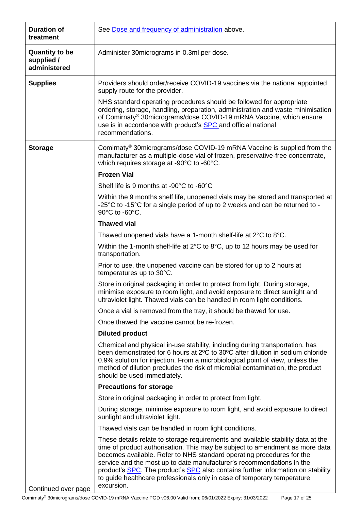<span id="page-16-0"></span>

| <b>Duration of</b><br>treatment                     | See Dose and frequency of administration above.                                                                                                                                                                                                                                                                                                                                                                                                                                                |
|-----------------------------------------------------|------------------------------------------------------------------------------------------------------------------------------------------------------------------------------------------------------------------------------------------------------------------------------------------------------------------------------------------------------------------------------------------------------------------------------------------------------------------------------------------------|
| <b>Quantity to be</b><br>supplied /<br>administered | Administer 30 micrograms in 0.3ml per dose.                                                                                                                                                                                                                                                                                                                                                                                                                                                    |
| <b>Supplies</b>                                     | Providers should order/receive COVID-19 vaccines via the national appointed<br>supply route for the provider.                                                                                                                                                                                                                                                                                                                                                                                  |
|                                                     | NHS standard operating procedures should be followed for appropriate<br>ordering, storage, handling, preparation, administration and waste minimisation<br>of Comirnaty® 30micrograms/dose COVID-19 mRNA Vaccine, which ensure<br>use is in accordance with product's <b>SPC</b> and official national<br>recommendations.                                                                                                                                                                     |
| <b>Storage</b>                                      | Comirnaty <sup>®</sup> 30micrograms/dose COVID-19 mRNA Vaccine is supplied from the<br>manufacturer as a multiple-dose vial of frozen, preservative-free concentrate,<br>which requires storage at -90°C to -60°C.                                                                                                                                                                                                                                                                             |
|                                                     | <b>Frozen Vial</b>                                                                                                                                                                                                                                                                                                                                                                                                                                                                             |
|                                                     | Shelf life is 9 months at -90°C to -60°C                                                                                                                                                                                                                                                                                                                                                                                                                                                       |
|                                                     | Within the 9 months shelf life, unopened vials may be stored and transported at<br>-25°C to -15°C for a single period of up to 2 weeks and can be returned to -<br>90°C to -60°C.                                                                                                                                                                                                                                                                                                              |
|                                                     | <b>Thawed vial</b>                                                                                                                                                                                                                                                                                                                                                                                                                                                                             |
|                                                     | Thawed unopened vials have a 1-month shelf-life at 2°C to 8°C.                                                                                                                                                                                                                                                                                                                                                                                                                                 |
|                                                     | Within the 1-month shelf-life at $2^{\circ}$ C to $8^{\circ}$ C, up to 12 hours may be used for<br>transportation.                                                                                                                                                                                                                                                                                                                                                                             |
|                                                     | Prior to use, the unopened vaccine can be stored for up to 2 hours at<br>temperatures up to 30°C.                                                                                                                                                                                                                                                                                                                                                                                              |
|                                                     | Store in original packaging in order to protect from light. During storage,<br>minimise exposure to room light, and avoid exposure to direct sunlight and<br>ultraviolet light. Thawed vials can be handled in room light conditions.                                                                                                                                                                                                                                                          |
|                                                     | Once a vial is removed from the tray, it should be thawed for use.                                                                                                                                                                                                                                                                                                                                                                                                                             |
|                                                     | Once thawed the vaccine cannot be re-frozen.                                                                                                                                                                                                                                                                                                                                                                                                                                                   |
|                                                     | <b>Diluted product</b>                                                                                                                                                                                                                                                                                                                                                                                                                                                                         |
|                                                     | Chemical and physical in-use stability, including during transportation, has<br>been demonstrated for 6 hours at 2 <sup>o</sup> C to 30 <sup>o</sup> C after dilution in sodium chloride<br>0.9% solution for injection. From a microbiological point of view, unless the<br>method of dilution precludes the risk of microbial contamination, the product<br>should be used immediately.                                                                                                      |
|                                                     | <b>Precautions for storage</b>                                                                                                                                                                                                                                                                                                                                                                                                                                                                 |
|                                                     | Store in original packaging in order to protect from light.                                                                                                                                                                                                                                                                                                                                                                                                                                    |
|                                                     | During storage, minimise exposure to room light, and avoid exposure to direct<br>sunlight and ultraviolet light.                                                                                                                                                                                                                                                                                                                                                                               |
|                                                     | Thawed vials can be handled in room light conditions.                                                                                                                                                                                                                                                                                                                                                                                                                                          |
| Continued over page                                 | These details relate to storage requirements and available stability data at the<br>time of product authorisation. This may be subject to amendment as more data<br>becomes available. Refer to NHS standard operating procedures for the<br>service and the most up to date manufacturer's recommendations in the<br>product's SPC. The product's SPC also contains further information on stability<br>to guide healthcare professionals only in case of temporary temperature<br>excursion. |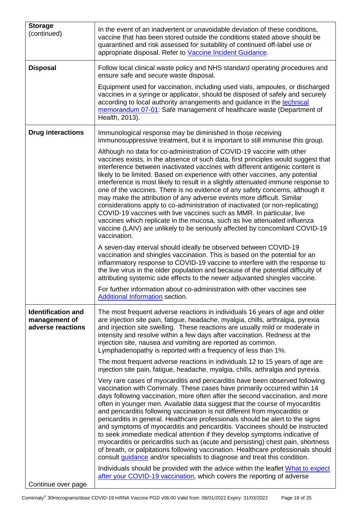| <b>Storage</b><br>(continued)                                   | In the event of an inadvertent or unavoidable deviation of these conditions,<br>vaccine that has been stored outside the conditions stated above should be<br>quarantined and risk assessed for suitability of continued off-label use or<br>appropriate disposal. Refer to Vaccine Incident Guidance.                                                                                                                                                                                                                                                                                                                                                                                                                                                                                                                                                                                                                                                                                                                                                                                                                                                                                                                                                                                                                                                                                              |
|-----------------------------------------------------------------|-----------------------------------------------------------------------------------------------------------------------------------------------------------------------------------------------------------------------------------------------------------------------------------------------------------------------------------------------------------------------------------------------------------------------------------------------------------------------------------------------------------------------------------------------------------------------------------------------------------------------------------------------------------------------------------------------------------------------------------------------------------------------------------------------------------------------------------------------------------------------------------------------------------------------------------------------------------------------------------------------------------------------------------------------------------------------------------------------------------------------------------------------------------------------------------------------------------------------------------------------------------------------------------------------------------------------------------------------------------------------------------------------------|
| <b>Disposal</b>                                                 | Follow local clinical waste policy and NHS standard operating procedures and<br>ensure safe and secure waste disposal.                                                                                                                                                                                                                                                                                                                                                                                                                                                                                                                                                                                                                                                                                                                                                                                                                                                                                                                                                                                                                                                                                                                                                                                                                                                                              |
|                                                                 | Equipment used for vaccination, including used vials, ampoules, or discharged<br>vaccines in a syringe or applicator, should be disposed of safely and securely<br>according to local authority arrangements and guidance in the technical<br>memorandum 07-01: Safe management of healthcare waste (Department of<br>Health, 2013).                                                                                                                                                                                                                                                                                                                                                                                                                                                                                                                                                                                                                                                                                                                                                                                                                                                                                                                                                                                                                                                                |
| <b>Drug interactions</b>                                        | Immunological response may be diminished in those receiving<br>immunosuppressive treatment, but it is important to still immunise this group.                                                                                                                                                                                                                                                                                                                                                                                                                                                                                                                                                                                                                                                                                                                                                                                                                                                                                                                                                                                                                                                                                                                                                                                                                                                       |
|                                                                 | Although no data for co-administration of COVID-19 vaccine with other<br>vaccines exists, in the absence of such data, first principles would suggest that<br>interference between inactivated vaccines with different antigenic content is<br>likely to be limited. Based on experience with other vaccines, any potential<br>interference is most likely to result in a slightly attenuated immune response to<br>one of the vaccines. There is no evidence of any safety concerns, although it<br>may make the attribution of any adverse events more difficult. Similar<br>considerations apply to co-administration of inactivated (or non-replicating)<br>COVID-19 vaccines with live vaccines such as MMR. In particular, live<br>vaccines which replicate in the mucosa, such as live attenuated influenza<br>vaccine (LAIV) are unlikely to be seriously affected by concomitant COVID-19<br>vaccination.<br>A seven-day interval should ideally be observed between COVID-19<br>vaccination and shingles vaccination. This is based on the potential for an<br>inflammatory response to COVID-19 vaccine to interfere with the response to<br>the live virus in the older population and because of the potential difficulty of<br>attributing systemic side effects to the newer adjuvanted shingles vaccine.<br>For further information about co-administration with other vaccines see |
|                                                                 | <b>Additional Information section.</b>                                                                                                                                                                                                                                                                                                                                                                                                                                                                                                                                                                                                                                                                                                                                                                                                                                                                                                                                                                                                                                                                                                                                                                                                                                                                                                                                                              |
| <b>Identification and</b><br>management of<br>adverse reactions | The most frequent adverse reactions in individuals 16 years of age and older<br>are injection site pain, fatigue, headache, myalgia, chills, arthralgia, pyrexia<br>and injection site swelling. These reactions are usually mild or moderate in<br>intensity and resolve within a few days after vaccination. Redness at the<br>injection site, nausea and vomiting are reported as common.<br>Lymphadenopathy is reported with a frequency of less than 1%.                                                                                                                                                                                                                                                                                                                                                                                                                                                                                                                                                                                                                                                                                                                                                                                                                                                                                                                                       |
|                                                                 | The most frequent adverse reactions in individuals 12 to 15 years of age are<br>injection site pain, fatigue, headache, myalgia, chills, arthralgia and pyrexia.                                                                                                                                                                                                                                                                                                                                                                                                                                                                                                                                                                                                                                                                                                                                                                                                                                                                                                                                                                                                                                                                                                                                                                                                                                    |
|                                                                 | Very rare cases of myocarditis and pericarditis have been observed following<br>vaccination with Comirnaty. These cases have primarily occurred within 14<br>days following vaccination, more often after the second vaccination, and more<br>often in younger men. Available data suggest that the course of myocarditis<br>and pericarditis following vaccination is not different from myocarditis or<br>pericarditis in general. Healthcare professionals should be alert to the signs<br>and symptoms of myocarditis and pericarditis. Vaccinees should be instructed<br>to seek immediate medical attention if they develop symptoms indicative of<br>myocarditis or pericarditis such as (acute and persisting) chest pain, shortness<br>of breath, or palpitations following vaccination. Healthcare professionals should<br>consult <i>guidance</i> and/or specialists to diagnose and treat this condition.                                                                                                                                                                                                                                                                                                                                                                                                                                                                               |
|                                                                 | Individuals should be provided with the advice within the leaflet What to expect<br>after your COVID-19 vaccination, which covers the reporting of adverse                                                                                                                                                                                                                                                                                                                                                                                                                                                                                                                                                                                                                                                                                                                                                                                                                                                                                                                                                                                                                                                                                                                                                                                                                                          |
| Continue over page                                              |                                                                                                                                                                                                                                                                                                                                                                                                                                                                                                                                                                                                                                                                                                                                                                                                                                                                                                                                                                                                                                                                                                                                                                                                                                                                                                                                                                                                     |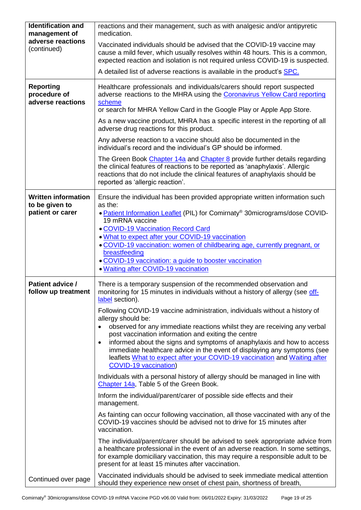| <b>Identification and</b>                             | reactions and their management, such as with analgesic and/or antipyretic                                                                                                                                                                                                                                  |
|-------------------------------------------------------|------------------------------------------------------------------------------------------------------------------------------------------------------------------------------------------------------------------------------------------------------------------------------------------------------------|
| management of<br>adverse reactions                    | medication.                                                                                                                                                                                                                                                                                                |
| (continued)                                           | Vaccinated individuals should be advised that the COVID-19 vaccine may<br>cause a mild fever, which usually resolves within 48 hours. This is a common,<br>expected reaction and isolation is not required unless COVID-19 is suspected.                                                                   |
|                                                       | A detailed list of adverse reactions is available in the product's SPC.                                                                                                                                                                                                                                    |
| <b>Reporting</b><br>procedure of<br>adverse reactions | Healthcare professionals and individuals/carers should report suspected<br>adverse reactions to the MHRA using the Coronavirus Yellow Card reporting<br>scheme<br>or search for MHRA Yellow Card in the Google Play or Apple App Store.                                                                    |
|                                                       | As a new vaccine product, MHRA has a specific interest in the reporting of all<br>adverse drug reactions for this product.                                                                                                                                                                                 |
|                                                       | Any adverse reaction to a vaccine should also be documented in the<br>individual's record and the individual's GP should be informed.                                                                                                                                                                      |
|                                                       | The Green Book Chapter 14a and Chapter 8 provide further details regarding<br>the clinical features of reactions to be reported as 'anaphylaxis'. Allergic<br>reactions that do not include the clinical features of anaphylaxis should be<br>reported as 'allergic reaction'.                             |
| <b>Written information</b>                            | Ensure the individual has been provided appropriate written information such                                                                                                                                                                                                                               |
| to be given to<br>patient or carer                    | as the:<br>. Patient Information Leaflet (PIL) for Comirnaty <sup>®</sup> 30micrograms/dose COVID-<br>19 mRNA vaccine<br><b>. COVID-19 Vaccination Record Card</b>                                                                                                                                         |
|                                                       | . What to expect after your COVID-19 vaccination                                                                                                                                                                                                                                                           |
|                                                       | · COVID-19 vaccination: women of childbearing age, currently pregnant, or<br>breastfeeding                                                                                                                                                                                                                 |
|                                                       | • COVID-19 vaccination: a guide to booster vaccination<br>. Waiting after COVID-19 vaccination                                                                                                                                                                                                             |
| Patient advice /                                      | There is a temporary suspension of the recommended observation and                                                                                                                                                                                                                                         |
| follow up treatment                                   | monitoring for 15 minutes in individuals without a history of allergy (see off-<br>label section).                                                                                                                                                                                                         |
|                                                       | Following COVID-19 vaccine administration, individuals without a history of                                                                                                                                                                                                                                |
|                                                       | allergy should be:<br>observed for any immediate reactions whilst they are receiving any verbal                                                                                                                                                                                                            |
|                                                       | post vaccination information and exiting the centre<br>informed about the signs and symptoms of anaphylaxis and how to access<br>$\bullet$                                                                                                                                                                 |
|                                                       | immediate healthcare advice in the event of displaying any symptoms (see<br>leaflets What to expect after your COVID-19 vaccination and Waiting after<br><b>COVID-19 vaccination</b> )                                                                                                                     |
|                                                       | Individuals with a personal history of allergy should be managed in line with<br>Chapter 14a, Table 5 of the Green Book.                                                                                                                                                                                   |
|                                                       | Inform the individual/parent/carer of possible side effects and their<br>management.                                                                                                                                                                                                                       |
|                                                       | As fainting can occur following vaccination, all those vaccinated with any of the<br>COVID-19 vaccines should be advised not to drive for 15 minutes after<br>vaccination.                                                                                                                                 |
|                                                       | The individual/parent/carer should be advised to seek appropriate advice from<br>a healthcare professional in the event of an adverse reaction. In some settings,<br>for example domiciliary vaccination, this may require a responsible adult to be<br>present for at least 15 minutes after vaccination. |
| Continued over page                                   | Vaccinated individuals should be advised to seek immediate medical attention<br>should they experience new onset of chest pain, shortness of breath,                                                                                                                                                       |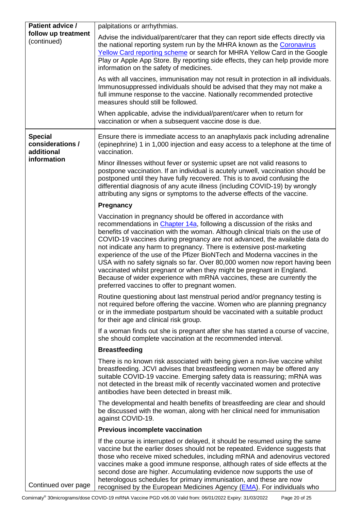<span id="page-19-0"></span>

| <b>Patient advice /</b><br>follow up treatment<br>(continued) | palpitations or arrhythmias.                                                                                                                                                                                                                                                                                                                                                                                                                                                                                                                                                                                                                                                                                                                       |
|---------------------------------------------------------------|----------------------------------------------------------------------------------------------------------------------------------------------------------------------------------------------------------------------------------------------------------------------------------------------------------------------------------------------------------------------------------------------------------------------------------------------------------------------------------------------------------------------------------------------------------------------------------------------------------------------------------------------------------------------------------------------------------------------------------------------------|
|                                                               | Advise the individual/parent/carer that they can report side effects directly via<br>the national reporting system run by the MHRA known as the Coronavirus<br>Yellow Card reporting scheme or search for MHRA Yellow Card in the Google<br>Play or Apple App Store. By reporting side effects, they can help provide more<br>information on the safety of medicines.                                                                                                                                                                                                                                                                                                                                                                              |
|                                                               | As with all vaccines, immunisation may not result in protection in all individuals.<br>Immunosuppressed individuals should be advised that they may not make a<br>full immune response to the vaccine. Nationally recommended protective<br>measures should still be followed.                                                                                                                                                                                                                                                                                                                                                                                                                                                                     |
|                                                               | When applicable, advise the individual/parent/carer when to return for<br>vaccination or when a subsequent vaccine dose is due.                                                                                                                                                                                                                                                                                                                                                                                                                                                                                                                                                                                                                    |
| <b>Special</b><br>considerations /<br>additional              | Ensure there is immediate access to an anaphylaxis pack including adrenaline<br>(epinephrine) 1 in 1,000 injection and easy access to a telephone at the time of<br>vaccination.                                                                                                                                                                                                                                                                                                                                                                                                                                                                                                                                                                   |
| information                                                   | Minor illnesses without fever or systemic upset are not valid reasons to<br>postpone vaccination. If an individual is acutely unwell, vaccination should be<br>postponed until they have fully recovered. This is to avoid confusing the<br>differential diagnosis of any acute illness (including COVID-19) by wrongly<br>attributing any signs or symptoms to the adverse effects of the vaccine.                                                                                                                                                                                                                                                                                                                                                |
|                                                               | <b>Pregnancy</b>                                                                                                                                                                                                                                                                                                                                                                                                                                                                                                                                                                                                                                                                                                                                   |
|                                                               | Vaccination in pregnancy should be offered in accordance with<br>recommendations in Chapter 14a, following a discussion of the risks and<br>benefits of vaccination with the woman. Although clinical trials on the use of<br>COVID-19 vaccines during pregnancy are not advanced, the available data do<br>not indicate any harm to pregnancy. There is extensive post-marketing<br>experience of the use of the Pfizer BioNTech and Moderna vaccines in the<br>USA with no safety signals so far. Over 80,000 women now report having been<br>vaccinated whilst pregnant or when they might be pregnant in England.<br>Because of wider experience with mRNA vaccines, these are currently the<br>preferred vaccines to offer to pregnant women. |
|                                                               | Routine questioning about last menstrual period and/or pregnancy testing is<br>not required before offering the vaccine. Women who are planning pregnancy<br>or in the immediate postpartum should be vaccinated with a suitable product<br>for their age and clinical risk group.                                                                                                                                                                                                                                                                                                                                                                                                                                                                 |
|                                                               | If a woman finds out she is pregnant after she has started a course of vaccine,<br>she should complete vaccination at the recommended interval.                                                                                                                                                                                                                                                                                                                                                                                                                                                                                                                                                                                                    |
|                                                               | <b>Breastfeeding</b>                                                                                                                                                                                                                                                                                                                                                                                                                                                                                                                                                                                                                                                                                                                               |
|                                                               | There is no known risk associated with being given a non-live vaccine whilst<br>breastfeeding. JCVI advises that breastfeeding women may be offered any<br>suitable COVID-19 vaccine. Emerging safety data is reassuring; mRNA was<br>not detected in the breast milk of recently vaccinated women and protective<br>antibodies have been detected in breast milk.                                                                                                                                                                                                                                                                                                                                                                                 |
|                                                               | The developmental and health benefits of breastfeeding are clear and should<br>be discussed with the woman, along with her clinical need for immunisation<br>against COVID-19.                                                                                                                                                                                                                                                                                                                                                                                                                                                                                                                                                                     |
|                                                               | <b>Previous incomplete vaccination</b>                                                                                                                                                                                                                                                                                                                                                                                                                                                                                                                                                                                                                                                                                                             |
| Continued over page                                           | If the course is interrupted or delayed, it should be resumed using the same<br>vaccine but the earlier doses should not be repeated. Evidence suggests that<br>those who receive mixed schedules, including mRNA and adenovirus vectored<br>vaccines make a good immune response, although rates of side effects at the<br>second dose are higher. Accumulating evidence now supports the use of<br>heterologous schedules for primary immunisation, and these are now                                                                                                                                                                                                                                                                            |
|                                                               | recognised by the European Medicines Agency (EMA). For individuals who                                                                                                                                                                                                                                                                                                                                                                                                                                                                                                                                                                                                                                                                             |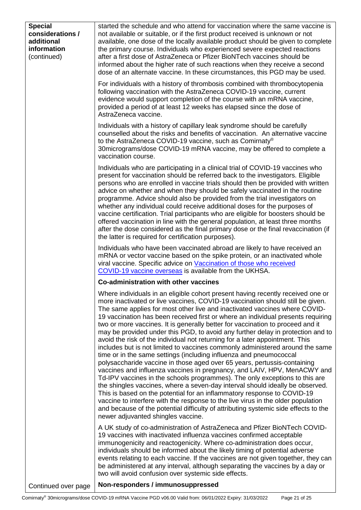<span id="page-20-1"></span><span id="page-20-0"></span>

| <b>Special</b><br>considerations /<br>additional<br>information<br>(continued) | started the schedule and who attend for vaccination where the same vaccine is<br>not available or suitable, or if the first product received is unknown or not<br>available, one dose of the locally available product should be given to complete<br>the primary course. Individuals who experienced severe expected reactions<br>after a first dose of AstraZeneca or Pfizer BioNTech vaccines should be<br>informed about the higher rate of such reactions when they receive a second<br>dose of an alternate vaccine. In these circumstances, this PGD may be used.<br>For individuals with a history of thrombosis combined with thrombocytopenia<br>following vaccination with the AstraZeneca COVID-19 vaccine, current<br>evidence would support completion of the course with an mRNA vaccine,<br>provided a period of at least 12 weeks has elapsed since the dose of<br>AstraZeneca vaccine.<br>Individuals with a history of capillary leak syndrome should be carefully                                                                                                                                                                                                                                                                                                                                                                               |
|--------------------------------------------------------------------------------|---------------------------------------------------------------------------------------------------------------------------------------------------------------------------------------------------------------------------------------------------------------------------------------------------------------------------------------------------------------------------------------------------------------------------------------------------------------------------------------------------------------------------------------------------------------------------------------------------------------------------------------------------------------------------------------------------------------------------------------------------------------------------------------------------------------------------------------------------------------------------------------------------------------------------------------------------------------------------------------------------------------------------------------------------------------------------------------------------------------------------------------------------------------------------------------------------------------------------------------------------------------------------------------------------------------------------------------------------------------------|
|                                                                                | counselled about the risks and benefits of vaccination. An alternative vaccine<br>to the AstraZeneca COVID-19 vaccine, such as Comirnaty®<br>30 micrograms/dose COVID-19 mRNA vaccine, may be offered to complete a<br>vaccination course.                                                                                                                                                                                                                                                                                                                                                                                                                                                                                                                                                                                                                                                                                                                                                                                                                                                                                                                                                                                                                                                                                                                          |
|                                                                                | Individuals who are participating in a clinical trial of COVID-19 vaccines who<br>present for vaccination should be referred back to the investigators. Eligible<br>persons who are enrolled in vaccine trials should then be provided with written<br>advice on whether and when they should be safely vaccinated in the routine<br>programme. Advice should also be provided from the trial investigators on<br>whether any individual could receive additional doses for the purposes of<br>vaccine certification. Trial participants who are eligible for boosters should be<br>offered vaccination in line with the general population, at least three months<br>after the dose considered as the final primary dose or the final revaccination (if<br>the latter is required for certification purposes).                                                                                                                                                                                                                                                                                                                                                                                                                                                                                                                                                     |
|                                                                                | Individuals who have been vaccinated abroad are likely to have received an<br>mRNA or vector vaccine based on the spike protein, or an inactivated whole<br>viral vaccine. Specific advice on Vaccination of those who received<br>COVID-19 vaccine overseas is available from the UKHSA.                                                                                                                                                                                                                                                                                                                                                                                                                                                                                                                                                                                                                                                                                                                                                                                                                                                                                                                                                                                                                                                                           |
|                                                                                | Co-administration with other vaccines                                                                                                                                                                                                                                                                                                                                                                                                                                                                                                                                                                                                                                                                                                                                                                                                                                                                                                                                                                                                                                                                                                                                                                                                                                                                                                                               |
|                                                                                | Where individuals in an eligible cohort present having recently received one or<br>more inactivated or live vaccines, COVID-19 vaccination should still be given.<br>The same applies for most other live and inactivated vaccines where COVID-<br>19 vaccination has been received first or where an individual presents requiring<br>two or more vaccines. It is generally better for vaccination to proceed and it<br>may be provided under this PGD, to avoid any further delay in protection and to<br>avoid the risk of the individual not returning for a later appointment. This<br>includes but is not limited to vaccines commonly administered around the same<br>time or in the same settings (including influenza and pneumococcal<br>polysaccharide vaccine in those aged over 65 years, pertussis-containing<br>vaccines and influenza vaccines in pregnancy, and LAIV, HPV, MenACWY and<br>Td-IPV vaccines in the schools programmes). The only exceptions to this are<br>the shingles vaccines, where a seven-day interval should ideally be observed.<br>This is based on the potential for an inflammatory response to COVID-19<br>vaccine to interfere with the response to the live virus in the older population<br>and because of the potential difficulty of attributing systemic side effects to the<br>newer adjuvanted shingles vaccine. |
|                                                                                | A UK study of co-administration of AstraZeneca and Pfizer BioNTech COVID-<br>19 vaccines with inactivated influenza vaccines confirmed acceptable<br>immunogenicity and reactogenicity. Where co-administration does occur,<br>individuals should be informed about the likely timing of potential adverse<br>events relating to each vaccine. If the vaccines are not given together, they can<br>be administered at any interval, although separating the vaccines by a day or<br>two will avoid confusion over systemic side effects.                                                                                                                                                                                                                                                                                                                                                                                                                                                                                                                                                                                                                                                                                                                                                                                                                            |
| Continued over page                                                            | Non-responders / immunosuppressed                                                                                                                                                                                                                                                                                                                                                                                                                                                                                                                                                                                                                                                                                                                                                                                                                                                                                                                                                                                                                                                                                                                                                                                                                                                                                                                                   |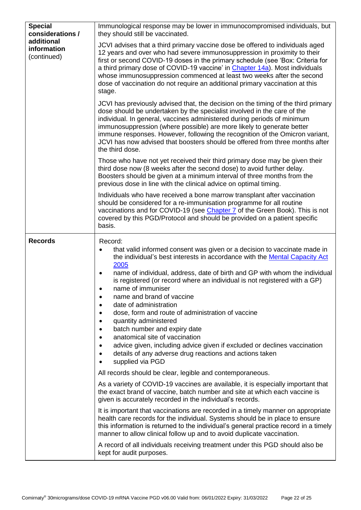| <b>Special</b><br>considerations /<br>additional<br>information<br>(continued) | Immunological response may be lower in immunocompromised individuals, but<br>they should still be vaccinated.                                                                                                                                                                                                                                                                                                                                                                                                                                                                                                                                                                                                                                                                                                                                                                                                                                                                                                                                                                                                                                                                                                                                                                                                                                                                                                                                                              |
|--------------------------------------------------------------------------------|----------------------------------------------------------------------------------------------------------------------------------------------------------------------------------------------------------------------------------------------------------------------------------------------------------------------------------------------------------------------------------------------------------------------------------------------------------------------------------------------------------------------------------------------------------------------------------------------------------------------------------------------------------------------------------------------------------------------------------------------------------------------------------------------------------------------------------------------------------------------------------------------------------------------------------------------------------------------------------------------------------------------------------------------------------------------------------------------------------------------------------------------------------------------------------------------------------------------------------------------------------------------------------------------------------------------------------------------------------------------------------------------------------------------------------------------------------------------------|
|                                                                                | JCVI advises that a third primary vaccine dose be offered to individuals aged<br>12 years and over who had severe immunosuppression in proximity to their<br>first or second COVID-19 doses in the primary schedule (see 'Box: Criteria for<br>a third primary dose of COVID-19 vaccine' in Chapter 14a). Most individuals<br>whose immunosuppression commenced at least two weeks after the second<br>dose of vaccination do not require an additional primary vaccination at this<br>stage.                                                                                                                                                                                                                                                                                                                                                                                                                                                                                                                                                                                                                                                                                                                                                                                                                                                                                                                                                                              |
|                                                                                | JCVI has previously advised that, the decision on the timing of the third primary<br>dose should be undertaken by the specialist involved in the care of the<br>individual. In general, vaccines administered during periods of minimum<br>immunosuppression (where possible) are more likely to generate better<br>immune responses. However, following the recognition of the Omicron variant,<br>JCVI has now advised that boosters should be offered from three months after<br>the third dose.                                                                                                                                                                                                                                                                                                                                                                                                                                                                                                                                                                                                                                                                                                                                                                                                                                                                                                                                                                        |
|                                                                                | Those who have not yet received their third primary dose may be given their<br>third dose now (8 weeks after the second dose) to avoid further delay.<br>Boosters should be given at a minimum interval of three months from the<br>previous dose in line with the clinical advice on optimal timing.                                                                                                                                                                                                                                                                                                                                                                                                                                                                                                                                                                                                                                                                                                                                                                                                                                                                                                                                                                                                                                                                                                                                                                      |
|                                                                                | Individuals who have received a bone marrow transplant after vaccination<br>should be considered for a re-immunisation programme for all routine<br>vaccinations and for COVID-19 (see Chapter 7 of the Green Book). This is not<br>covered by this PGD/Protocol and should be provided on a patient specific<br>basis.                                                                                                                                                                                                                                                                                                                                                                                                                                                                                                                                                                                                                                                                                                                                                                                                                                                                                                                                                                                                                                                                                                                                                    |
| <b>Records</b>                                                                 | Record:<br>that valid informed consent was given or a decision to vaccinate made in<br>the individual's best interests in accordance with the Mental Capacity Act<br>2005<br>name of individual, address, date of birth and GP with whom the individual<br>is registered (or record where an individual is not registered with a GP)<br>name of immuniser<br>name and brand of vaccine<br>date of administration<br>dose, form and route of administration of vaccine<br>quantity administered<br>batch number and expiry date<br>anatomical site of vaccination<br>advice given, including advice given if excluded or declines vaccination<br>details of any adverse drug reactions and actions taken<br>supplied via PGD<br>All records should be clear, legible and contemporaneous.<br>As a variety of COVID-19 vaccines are available, it is especially important that<br>the exact brand of vaccine, batch number and site at which each vaccine is<br>given is accurately recorded in the individual's records.<br>It is important that vaccinations are recorded in a timely manner on appropriate<br>health care records for the individual. Systems should be in place to ensure<br>this information is returned to the individual's general practice record in a timely<br>manner to allow clinical follow up and to avoid duplicate vaccination.<br>A record of all individuals receiving treatment under this PGD should also be<br>kept for audit purposes. |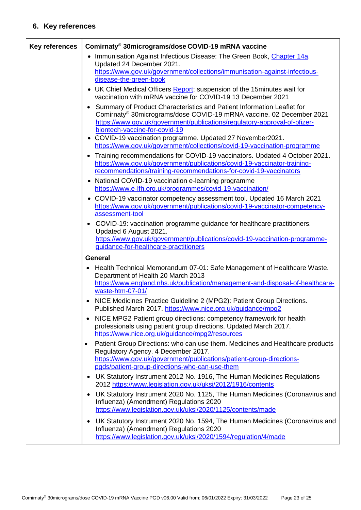# **6. Key references**

<span id="page-22-0"></span>

| <b>Key references</b> | Comirnaty® 30micrograms/dose COVID-19 mRNA vaccine                                                                                                                                                                                                                         |
|-----------------------|----------------------------------------------------------------------------------------------------------------------------------------------------------------------------------------------------------------------------------------------------------------------------|
|                       | • Immunisation Against Infectious Disease: The Green Book, Chapter 14a.<br>Updated 24 December 2021.<br>https://www.gov.uk/government/collections/immunisation-against-infectious-                                                                                         |
|                       | disease-the-green-book                                                                                                                                                                                                                                                     |
|                       | • UK Chief Medical Officers Report; suspension of the 15 minutes wait for<br>vaccination with mRNA vaccine for COVID-19 13 December 2021                                                                                                                                   |
|                       | • Summary of Product Characteristics and Patient Information Leaflet for<br>Comirnaty <sup>®</sup> 30micrograms/dose COVID-19 mRNA vaccine. 02 December 2021<br>https://www.gov.uk/government/publications/regulatory-approval-of-pfizer-<br>biontech-vaccine-for-covid-19 |
|                       | • COVID-19 vaccination programme. Updated 27 November2021.<br>https://www.gov.uk/government/collections/covid-19-vaccination-programme                                                                                                                                     |
|                       | • Training recommendations for COVID-19 vaccinators. Updated 4 October 2021.<br>https://www.gov.uk/government/publications/covid-19-vaccinator-training-<br>recommendations/training-recommendations-for-covid-19-vaccinators                                              |
|                       | • National COVID-19 vaccination e-learning programme<br>https://www.e-lfh.org.uk/programmes/covid-19-vaccination/                                                                                                                                                          |
|                       | • COVID-19 vaccinator competency assessment tool. Updated 16 March 2021<br>https://www.gov.uk/government/publications/covid-19-vaccinator-competency-<br>assessment-tool                                                                                                   |
|                       | COVID-19: vaccination programme guidance for healthcare practitioners.<br>Updated 6 August 2021.                                                                                                                                                                           |
|                       | https://www.gov.uk/government/publications/covid-19-vaccination-programme-<br>guidance-for-healthcare-practitioners                                                                                                                                                        |
|                       | <b>General</b>                                                                                                                                                                                                                                                             |
|                       | Health Technical Memorandum 07-01: Safe Management of Healthcare Waste.<br>Department of Health 20 March 2013<br>https://www.england.nhs.uk/publication/management-and-disposal-of-healthcare-                                                                             |
|                       | waste-htm-07-01/                                                                                                                                                                                                                                                           |
|                       | NICE Medicines Practice Guideline 2 (MPG2): Patient Group Directions.<br>Published March 2017. https://www.nice.org.uk/guidance/mpg2                                                                                                                                       |
|                       | NICE MPG2 Patient group directions: competency framework for health<br>professionals using patient group directions. Updated March 2017.<br>https://www.nice.org.uk/guidance/mpg2/resources                                                                                |
|                       | Patient Group Directions: who can use them. Medicines and Healthcare products<br>Regulatory Agency. 4 December 2017.<br>https://www.gov.uk/government/publications/patient-group-directions-                                                                               |
|                       | pgds/patient-group-directions-who-can-use-them                                                                                                                                                                                                                             |
|                       | UK Statutory Instrument 2012 No. 1916, The Human Medicines Regulations<br>٠<br>2012 https://www.legislation.gov.uk/uksi/2012/1916/contents                                                                                                                                 |
|                       | UK Statutory Instrument 2020 No. 1125, The Human Medicines (Coronavirus and<br>$\bullet$<br>Influenza) (Amendment) Regulations 2020<br>https://www.legislation.gov.uk/uksi/2020/1125/contents/made                                                                         |
|                       | UK Statutory Instrument 2020 No. 1594, The Human Medicines (Coronavirus and<br>٠<br>Influenza) (Amendment) Regulations 2020                                                                                                                                                |
|                       | https://www.legislation.gov.uk/uksi/2020/1594/regulation/4/made                                                                                                                                                                                                            |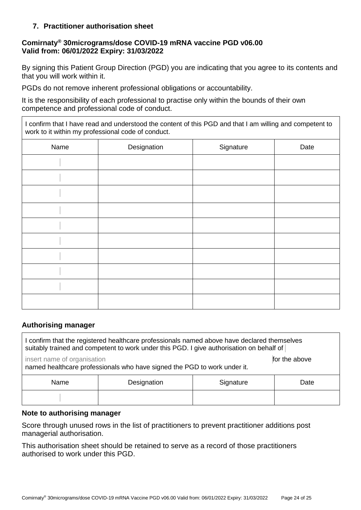### **7. Practitioner authorisation sheet**

## **Comirnaty® 30micrograms/dose COVID-19 mRNA vaccine PGD v06.00 Valid from: 06/01/2022 Expiry: 31/03/2022**

By signing this Patient Group Direction (PGD) you are indicating that you agree to its contents and that you will work within it.

PGDs do not remove inherent professional obligations or accountability.

It is the responsibility of each professional to practise only within the bounds of their own competence and professional code of conduct.

I confirm that I have read and understood the content of this PGD and that I am willing and competent to work to it within my professional code of conduct.

| Name | Designation | Signature | Date |
|------|-------------|-----------|------|
|      |             |           |      |
|      |             |           |      |
|      |             |           |      |
|      |             |           |      |
|      |             |           |      |
|      |             |           |      |
|      |             |           |      |
|      |             |           |      |
|      |             |           |      |
|      |             |           |      |

### **Authorising manager**

| confirm that the registered healthcare professionals named above have declared themselves<br>suitably trained and competent to work under this PGD. I give authorisation on behalf of |             |           |      |  |  |  |
|---------------------------------------------------------------------------------------------------------------------------------------------------------------------------------------|-------------|-----------|------|--|--|--|
| insert name of organisation<br>for the above<br>named healthcare professionals who have signed the PGD to work under it.                                                              |             |           |      |  |  |  |
| Name                                                                                                                                                                                  | Designation | Signature | Date |  |  |  |
|                                                                                                                                                                                       |             |           |      |  |  |  |

### **Note to authorising manager**

Score through unused rows in the list of practitioners to prevent practitioner additions post managerial authorisation.

This authorisation sheet should be retained to serve as a record of those practitioners authorised to work under this PGD.